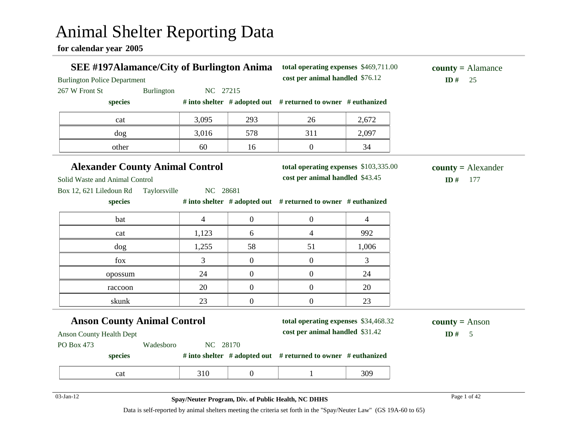# Animal Shelter Reporting Data

**for calendar year 2005**

| <b>SEE #197Alamance/City of Burlington Anima</b><br><b>Burlington Police Department</b> |                                                     |                  | total operating expenses \$469,711.00<br>cost per animal handled \$76.12 |                | $county = \text{Alamance}$<br>ID#<br>25 |
|-----------------------------------------------------------------------------------------|-----------------------------------------------------|------------------|--------------------------------------------------------------------------|----------------|-----------------------------------------|
| 267 W Front St                                                                          | Burlington<br>NC 27215                              |                  |                                                                          |                |                                         |
| species                                                                                 |                                                     |                  | # into shelter # adopted out # returned to owner # euthanized            |                |                                         |
| cat                                                                                     | 3,095                                               | 293              | 26                                                                       | 2,672          |                                         |
| dog                                                                                     | 3,016                                               | 578              | 311                                                                      | 2,097          |                                         |
| other                                                                                   | 60                                                  | 16               | $\overline{0}$                                                           | 34             |                                         |
| <b>Alexander County Animal Control</b>                                                  |                                                     |                  | total operating expenses \$103,335.00                                    |                | $county = Alexander$                    |
| Solid Waste and Animal Control                                                          |                                                     |                  | cost per animal handled \$43.45                                          |                | ID#<br>177                              |
| Box 12, 621 Liledoun Rd                                                                 | Taylorsville<br>NC 28681                            |                  |                                                                          |                |                                         |
| species                                                                                 |                                                     |                  | # into shelter # adopted out # returned to owner # euthanized            |                |                                         |
| bat                                                                                     | $\overline{4}$                                      | $\boldsymbol{0}$ | $\overline{0}$                                                           | $\overline{4}$ |                                         |
| cat                                                                                     | 1,123                                               | 6                | $\overline{4}$                                                           | 992            |                                         |
| dog                                                                                     | 1,255                                               | 58               | 51                                                                       | 1,006          |                                         |
| fox                                                                                     | 3                                                   | $\boldsymbol{0}$ | $\mathbf{0}$                                                             | 3              |                                         |
| opossum                                                                                 | 24                                                  | $\boldsymbol{0}$ | $\overline{0}$                                                           | 24             |                                         |
| raccoon                                                                                 | 20                                                  | $\boldsymbol{0}$ | $\overline{0}$                                                           | 20             |                                         |
| skunk                                                                                   | 23                                                  | $\boldsymbol{0}$ | $\overline{0}$                                                           | 23             |                                         |
| <b>Anson County Animal Control</b>                                                      |                                                     |                  | total operating expenses \$34,468.32                                     |                | <b>county</b> = Anson                   |
| <b>Anson County Health Dept</b>                                                         |                                                     |                  | cost per animal handled \$31.42                                          |                | ID#<br>5                                |
| PO Box 473                                                                              | NC 28170<br>Wadesboro                               |                  |                                                                          |                |                                         |
| species                                                                                 |                                                     |                  | # into shelter # adopted out # returned to owner # euthanized            |                |                                         |
| cat                                                                                     | 310                                                 | $\overline{0}$   | 1                                                                        | 309            |                                         |
|                                                                                         |                                                     |                  |                                                                          |                |                                         |
| $03$ -Jan-12                                                                            | Spay/Neuter Program, Div. of Public Health, NC DHHS |                  |                                                                          |                | Page 1 of 42                            |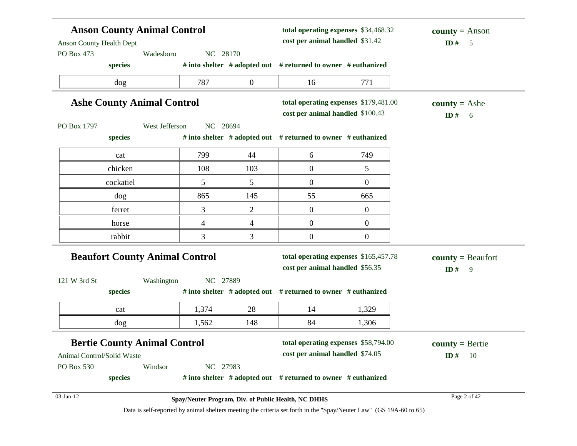| <b>Anson County Animal Control</b>                         |          |                  | total operating expenses \$34,468.32<br>cost per animal handled \$31.42 |                | $county = Anson$<br>ID# 5      |
|------------------------------------------------------------|----------|------------------|-------------------------------------------------------------------------|----------------|--------------------------------|
| <b>Anson County Health Dept</b><br>PO Box 473<br>Wadesboro | NC 28170 |                  |                                                                         |                |                                |
| species                                                    |          |                  | # into shelter # adopted out # returned to owner # euthanized           |                |                                |
| dog                                                        | 787      | $\boldsymbol{0}$ | 16                                                                      | 771            |                                |
| <b>Ashe County Animal Control</b>                          |          |                  | total operating expenses \$179,481.00                                   |                | <b>county</b> = Ashe           |
|                                                            |          |                  | cost per animal handled \$100.43                                        |                | ID# 6                          |
| West Jefferson<br>PO Box 1797                              | NC 28694 |                  |                                                                         |                |                                |
| species                                                    |          |                  | # into shelter # adopted out # returned to owner # euthanized           |                |                                |
| cat                                                        | 799      | 44               | 6                                                                       | 749            |                                |
| chicken                                                    | 108      | 103              | $\boldsymbol{0}$                                                        | 5              |                                |
| cockatiel                                                  | 5        | 5                | $\boldsymbol{0}$                                                        | $\overline{0}$ |                                |
| dog                                                        | 865      | 145              | 55                                                                      | 665            |                                |
| ferret                                                     | 3        | $\mathbf{2}$     | $\boldsymbol{0}$                                                        | $\overline{0}$ |                                |
| horse                                                      | 4        | 4                | $\boldsymbol{0}$                                                        | $\overline{0}$ |                                |
| rabbit                                                     | 3        | 3                | $\boldsymbol{0}$                                                        | $\overline{0}$ |                                |
| <b>Beaufort County Animal Control</b>                      |          |                  | total operating expenses \$165,457.78                                   |                | $county = Beaufort$            |
|                                                            |          |                  | cost per animal handled \$56.35                                         |                | ID#<br>$\overline{9}$          |
| 121 W 3rd St<br>Washington                                 | NC 27889 |                  |                                                                         |                |                                |
| species                                                    |          |                  | # into shelter # adopted out # returned to owner # euthanized           |                |                                |
| cat                                                        | 1,374    | 28               | 14                                                                      | 1,329          |                                |
| dog                                                        | 1,562    | 148              | 84                                                                      | 1,306          |                                |
| <b>Bertie County Animal Control</b>                        |          |                  | total operating expenses \$58,794.00                                    |                |                                |
| Animal Control/Solid Waste                                 |          |                  | cost per animal handled \$74.05                                         |                | $county = Bertie$<br>ID#<br>10 |
| PO Box 530<br>Windsor                                      | NC 27983 |                  |                                                                         |                |                                |
|                                                            |          |                  |                                                                         |                |                                |
| species                                                    |          |                  | # into shelter # adopted out # returned to owner # euthanized           |                |                                |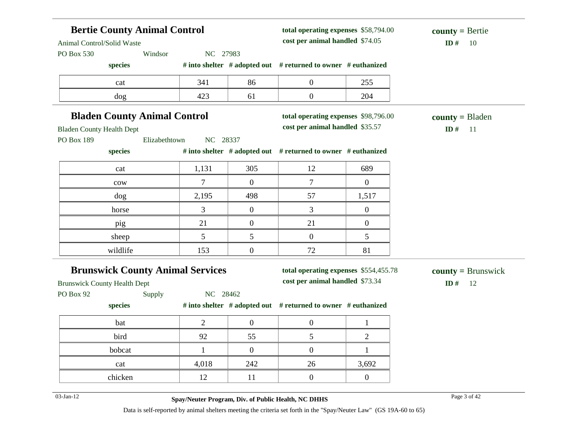| Animal Control/Solid Waste<br>PO Box 530                                       | <b>Bertie County Animal Control</b><br>Windsor      |                  |                                                                          | total operating expenses \$58,794.00<br>cost per animal handled \$74.05<br>NC 27983 |                                      |
|--------------------------------------------------------------------------------|-----------------------------------------------------|------------------|--------------------------------------------------------------------------|-------------------------------------------------------------------------------------|--------------------------------------|
| species                                                                        |                                                     |                  | # into shelter # adopted out # returned to owner # euthanized            |                                                                                     |                                      |
| cat                                                                            | 341                                                 | 86               | $\boldsymbol{0}$                                                         | 255                                                                                 |                                      |
| dog                                                                            | 423                                                 | 61               | $\boldsymbol{0}$                                                         | 204                                                                                 |                                      |
| <b>Bladen County Animal Control</b>                                            |                                                     |                  | total operating expenses \$98,796.00                                     |                                                                                     | $county = B$ laden                   |
| <b>Bladen County Health Dept</b>                                               |                                                     |                  | cost per animal handled \$35.57                                          |                                                                                     | ID $#$<br>-11                        |
| PO Box 189<br>Elizabethtown<br>species                                         | NC 28337                                            |                  | # into shelter # adopted out # returned to owner # euthanized            |                                                                                     |                                      |
| cat                                                                            | 1,131                                               | 305              | 12                                                                       | 689                                                                                 |                                      |
| cow                                                                            | 7                                                   | $\overline{0}$   | 7                                                                        | $\boldsymbol{0}$                                                                    |                                      |
| dog                                                                            | 2,195                                               | 498              | 57                                                                       | 1,517                                                                               |                                      |
| horse                                                                          | 3                                                   | $\overline{0}$   | 3                                                                        | $\boldsymbol{0}$                                                                    |                                      |
| pig                                                                            | 21                                                  | $\boldsymbol{0}$ | 21                                                                       | $\overline{0}$                                                                      |                                      |
| sheep                                                                          | 5                                                   | 5                | $\overline{0}$                                                           | 5                                                                                   |                                      |
| wildlife                                                                       | 153                                                 | $\boldsymbol{0}$ | 72                                                                       | 81                                                                                  |                                      |
| <b>Brunswick County Animal Services</b><br><b>Brunswick County Health Dept</b> |                                                     |                  | total operating expenses \$554,455.78<br>cost per animal handled \$73.34 |                                                                                     | $county = Brunswick$<br>ID $#$<br>12 |
| PO Box 92<br>Supply                                                            | NC 28462                                            |                  |                                                                          |                                                                                     |                                      |
| species                                                                        |                                                     |                  | # into shelter # adopted out # returned to owner # euthanized            |                                                                                     |                                      |
| bat                                                                            | $\overline{2}$                                      | $\overline{0}$   | $\boldsymbol{0}$                                                         | $\mathbf{1}$                                                                        |                                      |
| bird                                                                           | 92                                                  | 55               | 5                                                                        | $\overline{2}$                                                                      |                                      |
| bobcat                                                                         | $\mathbf{1}$                                        | $\boldsymbol{0}$ | $\boldsymbol{0}$                                                         | $\mathbf{1}$                                                                        |                                      |
| cat                                                                            | 4,018                                               | 242              | 26                                                                       | 3,692                                                                               |                                      |
| chicken                                                                        | 12                                                  | 11               | $\boldsymbol{0}$                                                         | $\boldsymbol{0}$                                                                    |                                      |
| $03$ -Jan-12                                                                   | Spay/Neuter Program, Div. of Public Health, NC DHHS |                  |                                                                          |                                                                                     | Page 3 of 42                         |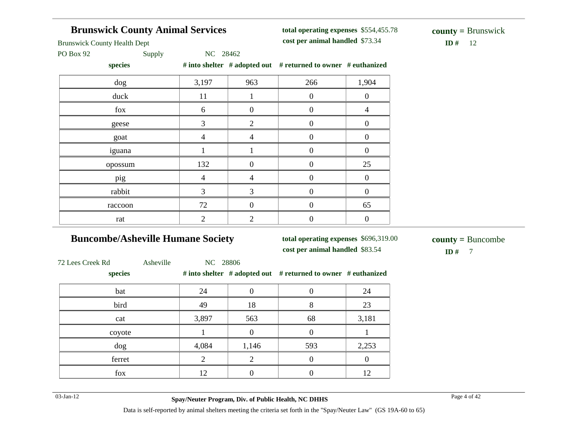# **Brunswick County Animal Services**

**total operating expenses** \$554,455.78 **cost per animal handled**

Brunswick County Health Dept

PO Box 92 Supply NC 28462

**species # into shelter # adopted out # returned to owner # euthanized**

| $5$ peers                 |       |                  | $\theta$ and sheave $\theta$ and $\theta$ and $\theta$ are $\theta$ and $\theta$ are $\theta$ and $\theta$ are $\theta$ and $\theta$ are $\theta$ |                  |
|---------------------------|-------|------------------|---------------------------------------------------------------------------------------------------------------------------------------------------|------------------|
| dog                       | 3,197 | 963              | 266                                                                                                                                               | 1,904            |
| duck                      | 11    |                  | $\overline{0}$                                                                                                                                    | $\boldsymbol{0}$ |
| fox                       | 6     | $\boldsymbol{0}$ | $\boldsymbol{0}$                                                                                                                                  | $\overline{4}$   |
| geese                     | 3     | $\overline{2}$   | $\boldsymbol{0}$                                                                                                                                  | $\overline{0}$   |
| goat                      | 4     | 4                | $\boldsymbol{0}$                                                                                                                                  | 0                |
| iguana                    |       |                  | $\overline{0}$                                                                                                                                    | 0                |
| opossum                   | 132   | 0                | $\boldsymbol{0}$                                                                                                                                  | 25               |
| pig                       | 4     | 4                | $\Omega$                                                                                                                                          | $\theta$         |
| rabbit                    | 3     | 3                | $\overline{0}$                                                                                                                                    | $\overline{0}$   |
| raccoon                   | 72    | 0                | $\theta$                                                                                                                                          | 65               |
| $\ensuremath{\text{rat}}$ | 2     | 2                | $\overline{0}$                                                                                                                                    | 0                |
|                           |       |                  |                                                                                                                                                   |                  |

# **Buncombe/Asheville Humane Society**

**total operating expenses** \$696,319.00

**cost per animal handled**

 $$ **county =** Buncombe

72 Lees Creek Rd Asheville NC 28806

| species |       |       | # into shelter $#$ adopted out $#$ returned to owner $#$ euthanized |       |
|---------|-------|-------|---------------------------------------------------------------------|-------|
| bat     | 24    |       |                                                                     | 24    |
| bird    | 49    | 18    |                                                                     | 23    |
| cat     | 3,897 | 563   | 68                                                                  | 3,181 |
| coyote  |       |       |                                                                     |       |
| dog     | 4,084 | 1,146 | 593                                                                 | 2,253 |
| ferret  |       |       |                                                                     |       |
| fox     | 12    |       |                                                                     |       |

03-Jan-12 Page 4 of 42 **Spay/Neuter Program, Div. of Public Health, NC DHHS**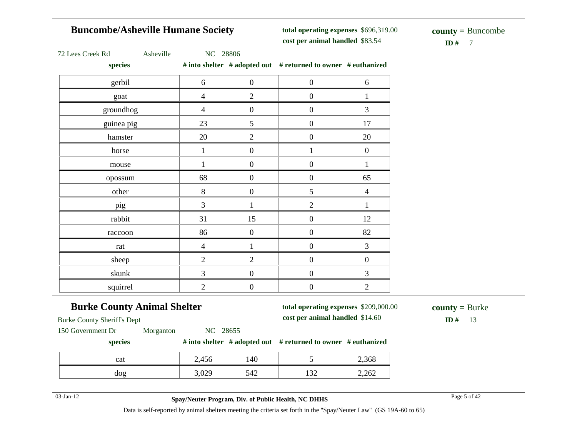# **Buncombe/Asheville Humane Society**

**total operating expenses** \$696,319.00 **cost per animal handled**

 $$ **county =** Buncombe

|  | 72 Lees Creek Rd |  |
|--|------------------|--|
|  |                  |  |

Asheville NC 28806

**species # into shelter # adopted out # returned to owner # euthanized**

| species                   |                |                  | $\pi$ mw shence $\pi$ and piculous $\pi$ returned to owner $\pi$ cumanized |                  |
|---------------------------|----------------|------------------|----------------------------------------------------------------------------|------------------|
| gerbil                    | $\sqrt{6}$     | $\boldsymbol{0}$ | $\boldsymbol{0}$                                                           | 6                |
| goat                      | $\overline{4}$ | $\overline{2}$   | $\boldsymbol{0}$                                                           | $\mathbf{1}$     |
| groundhog                 | $\overline{4}$ | $\boldsymbol{0}$ | $\boldsymbol{0}$                                                           | 3                |
| guinea pig                | 23             | 5                | $\boldsymbol{0}$                                                           | 17               |
| hamster                   | 20             | $\sqrt{2}$       | $\boldsymbol{0}$                                                           | 20               |
| horse                     | 1              | $\boldsymbol{0}$ | $\mathbf{1}$                                                               | $\boldsymbol{0}$ |
| mouse                     | 1              | $\boldsymbol{0}$ | $\boldsymbol{0}$                                                           | $\mathbf{1}$     |
| opossum                   | 68             | $\boldsymbol{0}$ | $\boldsymbol{0}$                                                           | 65               |
| other                     | $8\,$          | $\boldsymbol{0}$ | 5                                                                          | $\overline{4}$   |
| pig                       | $\mathfrak{Z}$ | 1                | $\overline{2}$                                                             | $\mathbf{1}$     |
| rabbit                    | 31             | 15               | $\boldsymbol{0}$                                                           | 12               |
| raccoon                   | 86             | $\boldsymbol{0}$ | $\boldsymbol{0}$                                                           | 82               |
| $\ensuremath{\text{rat}}$ | $\overline{4}$ | $\mathbf{1}$     | $\boldsymbol{0}$                                                           | $\mathfrak{Z}$   |
| sheep                     | $\overline{2}$ | $\overline{2}$   | $\boldsymbol{0}$                                                           | $\boldsymbol{0}$ |
| skunk                     | 3              | $\boldsymbol{0}$ | $\boldsymbol{0}$                                                           | 3                |
| squirrel                  | $\overline{2}$ | $\boldsymbol{0}$ | $\boldsymbol{0}$                                                           | $\overline{2}$   |

# **Burke County Animal Shelter**

**total operating expenses** \$209,000.00 **cost per animal handled**

 $ID# 13$ **county =** Burke

Burke County Sheriff's Dept

150 Government Dr Morganton NC 28655

#### **species # into shelter # adopted out # returned to owner # euthanized**

| cat | 2,456                         | 140        |                       | 2,368 |
|-----|-------------------------------|------------|-----------------------|-------|
| dog | $\Omega$<br>$\cup, \cup \cup$ | 542<br>ັ⊤∠ | $\sqrt{2}$<br>$1 - 1$ | 2,262 |

03-Jan-12 Page 5 of 42 **Spay/Neuter Program, Div. of Public Health, NC DHHS**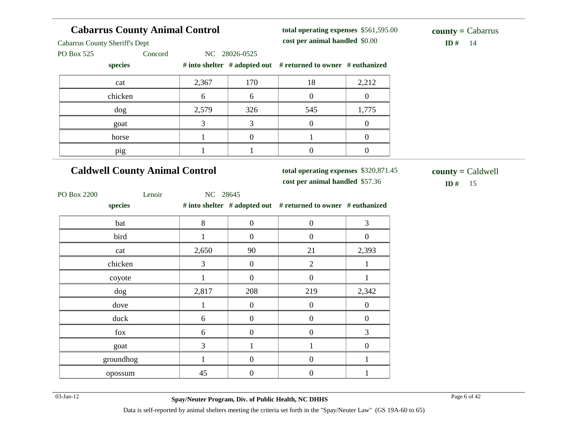| <b>Cabarrus County Animal Control</b> |                |                  | total operating expenses \$561,595.00                         |                  | $county = Cabarrus$ |
|---------------------------------------|----------------|------------------|---------------------------------------------------------------|------------------|---------------------|
| <b>Cabarrus County Sheriff's Dept</b> |                |                  | cost per animal handled \$0.00                                |                  | ID# 14              |
| PO Box 525<br>Concord                 |                | NC 28026-0525    |                                                               |                  |                     |
| species                               |                |                  | # into shelter # adopted out # returned to owner # euthanized |                  |                     |
| cat                                   | 2,367          | 170              | 18                                                            | 2,212            |                     |
| chicken                               | 6              | 6                | $\overline{0}$                                                | $\overline{0}$   |                     |
| dog                                   | 2,579          | 326              | 545                                                           | 1,775            |                     |
| goat                                  | $\overline{3}$ | $\overline{3}$   | $\mathbf{0}$                                                  | $\boldsymbol{0}$ |                     |
| horse                                 | $\mathbf{1}$   | $\boldsymbol{0}$ | $\mathbf{1}$                                                  | $\boldsymbol{0}$ |                     |
| pig                                   | $\mathbf{1}$   | $\mathbf{1}$     | $\boldsymbol{0}$                                              | $\boldsymbol{0}$ |                     |
| <b>Caldwell County Animal Control</b> |                |                  | total operating expenses \$320,871.45                         |                  | $county = Caldwell$ |
|                                       |                |                  | cost per animal handled \$57.36                               |                  | ID # $15$           |
| PO Box 2200<br>Lenoir                 | NC 28645       |                  |                                                               |                  |                     |
| species                               |                |                  | # into shelter # adopted out # returned to owner # euthanized |                  |                     |
| bat                                   | $8\,$          | $\boldsymbol{0}$ | $\boldsymbol{0}$                                              | 3                |                     |
| bird                                  | $\mathbf{1}$   | $\overline{0}$   | $\overline{0}$                                                | $\boldsymbol{0}$ |                     |
| cat                                   | 2,650          | 90               | 21                                                            | 2,393            |                     |
| chicken                               | 3              | $\boldsymbol{0}$ | $\overline{2}$                                                | $\mathbf{1}$     |                     |
| coyote                                | $\mathbf{1}$   | $\boldsymbol{0}$ | $\boldsymbol{0}$                                              | $\mathbf{1}$     |                     |
| dog                                   | 2,817          | 208              | 219                                                           | 2,342            |                     |
| dove                                  | $\mathbf{1}$   | $\boldsymbol{0}$ | $\boldsymbol{0}$                                              | $\overline{0}$   |                     |
| duck                                  | 6              | $\boldsymbol{0}$ | $\boldsymbol{0}$                                              | $\boldsymbol{0}$ |                     |
| fox                                   | 6              | $\boldsymbol{0}$ | $\boldsymbol{0}$                                              | 3                |                     |
| goat                                  | 3              | $\mathbf{1}$     | $\mathbf{1}$                                                  | $\boldsymbol{0}$ |                     |
| groundhog                             | $\mathbf{1}$   | $\boldsymbol{0}$ | $\boldsymbol{0}$                                              | $\mathbf{1}$     |                     |
| opossum                               | 45             | $\boldsymbol{0}$ | $\boldsymbol{0}$                                              | $\mathbf{1}$     |                     |

 $\sim$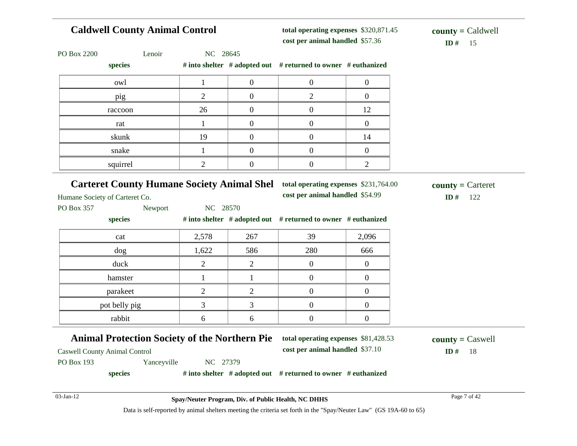| <b>Caldwell County Animal Control</b>                                                        |                |                  | total operating expenses \$320,871.45<br>cost per animal handled \$57.36 |                  | $county = Caldwell$               |
|----------------------------------------------------------------------------------------------|----------------|------------------|--------------------------------------------------------------------------|------------------|-----------------------------------|
| PO Box 2200<br>Lenoir                                                                        | NC 28645       |                  |                                                                          |                  | ID#<br>15                         |
| species                                                                                      |                |                  | # into shelter # adopted out # returned to owner # euthanized            |                  |                                   |
| owl                                                                                          | $\mathbf{1}$   | $\boldsymbol{0}$ | $\boldsymbol{0}$                                                         | $\boldsymbol{0}$ |                                   |
| pig                                                                                          | $\overline{2}$ | $\overline{0}$   | $\mathfrak{2}$                                                           | $\overline{0}$   |                                   |
| raccoon                                                                                      | 26             | $\overline{0}$   | $\overline{0}$                                                           | 12               |                                   |
| rat                                                                                          | 1              | $\boldsymbol{0}$ | $\boldsymbol{0}$                                                         | $\boldsymbol{0}$ |                                   |
| skunk                                                                                        | 19             | $\overline{0}$   | $\mathbf{0}$                                                             | 14               |                                   |
| snake                                                                                        | $\mathbf{1}$   | $\boldsymbol{0}$ | $\overline{0}$                                                           | $\boldsymbol{0}$ |                                   |
| squirrel                                                                                     | $\overline{2}$ | $\boldsymbol{0}$ | $\boldsymbol{0}$                                                         | $\overline{2}$   |                                   |
| <b>Carteret County Humane Society Animal Shel</b><br>Humane Society of Carteret Co.          |                |                  | total operating expenses \$231,764.00<br>cost per animal handled \$54.99 |                  | $county =$ Carteret<br>ID#<br>122 |
| PO Box 357<br>Newport                                                                        | NC 28570       |                  |                                                                          |                  |                                   |
| species                                                                                      |                |                  | # into shelter # adopted out # returned to owner # euthanized            |                  |                                   |
| cat                                                                                          | 2,578          | 267              | 39                                                                       | 2,096            |                                   |
| dog                                                                                          | 1,622          | 586              | 280                                                                      | 666              |                                   |
| duck                                                                                         | $\overline{2}$ | $\mathbf{2}$     | $\overline{0}$                                                           | $\boldsymbol{0}$ |                                   |
| hamster                                                                                      | $\mathbf{1}$   | $\mathbf{1}$     | $\boldsymbol{0}$                                                         | $\boldsymbol{0}$ |                                   |
| parakeet                                                                                     | $\overline{2}$ | $\overline{2}$   | $\boldsymbol{0}$                                                         | $\boldsymbol{0}$ |                                   |
| pot belly pig                                                                                | $\overline{3}$ | 3                | $\boldsymbol{0}$                                                         | $\boldsymbol{0}$ |                                   |
| rabbit                                                                                       | 6              | 6                | $\boldsymbol{0}$                                                         | $\boldsymbol{0}$ |                                   |
| <b>Animal Protection Society of the Northern Pie</b><br><b>Caswell County Animal Control</b> |                |                  | total operating expenses \$81,428.53<br>cost per animal handled \$37.10  |                  | $county = C$ aswell<br>ID#<br>18  |
| PO Box 193<br>Yanceyville                                                                    | NC 27379       |                  |                                                                          |                  |                                   |
| species                                                                                      |                |                  | # into shelter # adopted out # returned to owner # euthanized            |                  |                                   |
| 03-Jan-12                                                                                    |                |                  |                                                                          |                  | Page 7 of 42                      |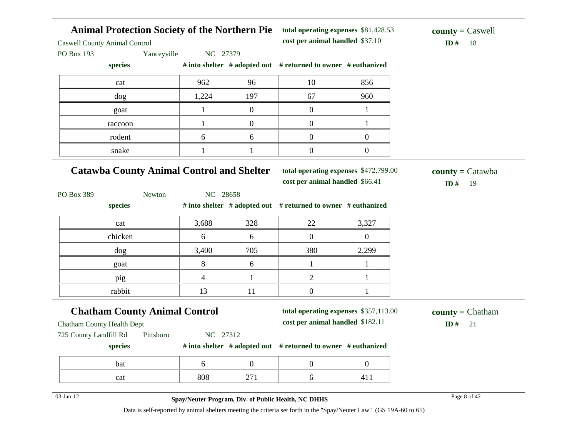**Animal Protection Society of the Northern Pie** Caswell County Animal Control PO Box 193 Yanceyville NC 27379 **species # into shelter # adopted out # returned to owner # euthanized total operating expenses** \$81,428.53 **cost per animal handled**  $ID# 18$ **county =** Caswell cat 10 962 96 10 856 dog 1,224 197 67 960 goat  $1 \quad 0 \quad 0 \quad 1$ raccoon  $1 \t 1 \t 0 \t 0 \t 1$ rodent  $\begin{array}{ccccccc} 6 & & 6 & & 0 & & 0 \end{array}$ snake  $1 \t 1 \t 1 \t 0 \t 0$ **Catawba County Animal Control and Shelter** PO Box 389 Newton NC 28658 **species # into shelter # adopted out # returned to owner # euthanized total operating expenses** \$472,799.00 **cost per animal handled** \$66.41 **ID #** 19 **county =** Catawba cat 3,688 328 22 3,327 chicken 6 6 6 0 0 dog 3,400 705 380 2,299 goat 8 6 1 1 pig 1 4 1 2 1 rabbit 13 11 0 1 **Chatham County Animal Control** Chatham County Health Dept 725 County Landfill Rd Pittsboro NC 27312 **species # into shelter # adopted out # returned to owner # euthanized total operating expenses** \$357,113.00 **cost per animal handled** \$182.11 **ID #** 21 **county =** Chatham bat  $\begin{array}{ccccccc} 6 & 0 & 0 & 0 \end{array}$ cat 1808 271 6 411 03-Jan-12 Page 8 of 42 **Spay/Neuter Program, Div. of Public Health, NC DHHS**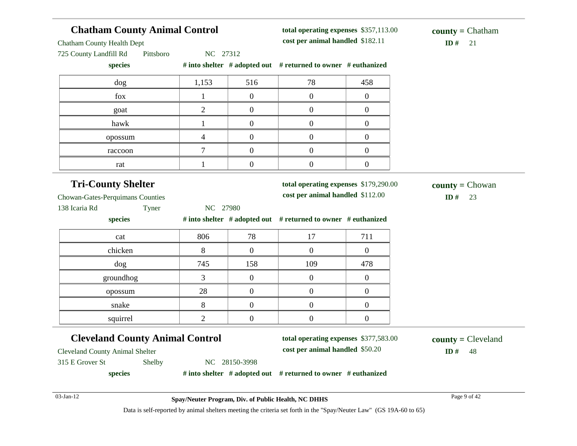# **Chatham County Animal Control**

**total operating expenses** \$357,113.00 **cost per animal handled** \$182.11 **ID #** 21

Chatham County Health Dept

725 County Landfill Rd Pittsboro NC 27312

**species # into shelter # adopted out # returned to owner # euthanized**

| dog     | 1,153 | 516 | 78 | 458 |
|---------|-------|-----|----|-----|
| fox     |       |     |    |     |
| goat    |       |     |    |     |
| hawk    |       |     |    |     |
| opossum |       |     |    |     |
| raccoon |       |     |    |     |
| rat     |       |     |    |     |

### **Tri-County Shelter**

**total operating expenses** \$179,290.00

**cost per animal handled**

 $ID#$  23 **county =** Chowan

Chowan-Gates-Perquimans Counties

| 138 Icaria Rd | Tyner | NC 27980 |
|---------------|-------|----------|
|---------------|-------|----------|

**species # into shelter # adopted out # returned to owner # euthanized**

| cat       | 806      | 78  | 17  | 711 |
|-----------|----------|-----|-----|-----|
| chicken   | 8        |     |     |     |
| dog       | 745      | 158 | 109 | 478 |
| groundhog | ◠        |     |     |     |
| opossum   | 28       |     |     |     |
| snake     | $\Omega$ |     |     |     |
| squirrel  |          |     |     |     |

### **Cleveland County Animal Control**

**total operating expenses** \$377,583.00

**cost per animal handled** \$50.20 **ID #** 48 **county =** Cleveland

Cleveland County Animal Shelter

315 E Grover St Shelby NC 28150-3998

**species # into shelter # adopted out # returned to owner # euthanized**

03-Jan-12 Page 9 of 42 **Spay/Neuter Program, Div. of Public Health, NC DHHS**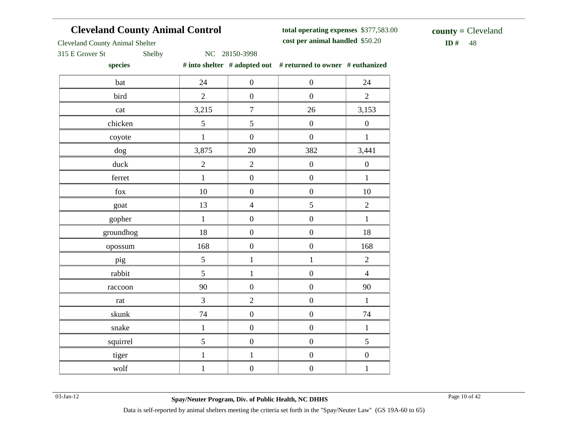# **Cleveland County Animal Control**

**total operating expenses** \$377,583.00 **cost per animal handled**

 $ID# 48$ **county =** Cleveland

Cleveland County Animal Shelter

315 E Grover St Shelby NC 28150-3998

**species # into shelter # adopted out # returned to owner # euthanized**

| 24             | $\boldsymbol{0}$ | $\boldsymbol{0}$ | 24               |
|----------------|------------------|------------------|------------------|
| $\sqrt{2}$     | $\boldsymbol{0}$ | $\boldsymbol{0}$ | $\overline{2}$   |
| 3,215          | $\boldsymbol{7}$ | 26               | 3,153            |
| 5              | 5                | $\overline{0}$   | $\boldsymbol{0}$ |
| $\,1$          | $\boldsymbol{0}$ | $\boldsymbol{0}$ | $\,1\,$          |
| 3,875          | $20\,$           | 382              | 3,441            |
| $\overline{2}$ | $\overline{2}$   | $\overline{0}$   | $\boldsymbol{0}$ |
| $\,1\,$        | $\boldsymbol{0}$ | $\overline{0}$   | $\,1\,$          |
| $10\,$         | $\boldsymbol{0}$ | $\boldsymbol{0}$ | $10\,$           |
| 13             | $\overline{4}$   | 5                | $\overline{2}$   |
| $\,1\,$        | $\boldsymbol{0}$ | $\boldsymbol{0}$ | $\,1\,$          |
| 18             | $\boldsymbol{0}$ | $\boldsymbol{0}$ | $18\,$           |
| 168            | $\boldsymbol{0}$ | $\boldsymbol{0}$ | 168              |
| 5              | $\,1$            | $\,1\,$          | $\sqrt{2}$       |
| 5              | $\mathbf{1}$     | $\boldsymbol{0}$ | $\overline{4}$   |
| 90             | $\boldsymbol{0}$ | $\boldsymbol{0}$ | 90               |
| $\overline{3}$ | $\overline{c}$   | $\boldsymbol{0}$ | $\,1\,$          |
| 74             | $\boldsymbol{0}$ | $\boldsymbol{0}$ | 74               |
| $\mathbf{1}$   | $\boldsymbol{0}$ | $\boldsymbol{0}$ | $\,1\,$          |
| 5              | $\boldsymbol{0}$ | $\boldsymbol{0}$ | $\mathfrak{S}$   |
| $\mathbf 1$    | $\,1$            | $\boldsymbol{0}$ | $\boldsymbol{0}$ |
| $\,1$          | $\boldsymbol{0}$ | $\boldsymbol{0}$ | $\,1$            |
|                |                  |                  |                  |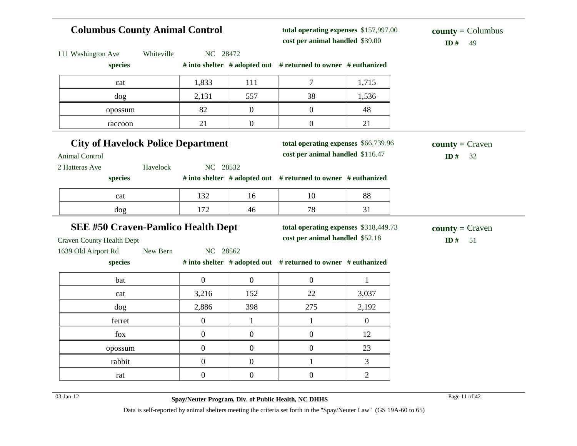# **Columbus County Animal Control**

**total operating expenses** \$157,997.00 **cost per animal handled**

### $ID# 49$ **county =** Columbus

| Whiteville<br>111 Washington Ave                                  | NC 28472         |                  |                                                               |              |                    |
|-------------------------------------------------------------------|------------------|------------------|---------------------------------------------------------------|--------------|--------------------|
| species                                                           |                  |                  | # into shelter # adopted out # returned to owner # euthanized |              |                    |
| cat                                                               | 1,833            | 111              | $\tau$                                                        | 1,715        |                    |
| dog                                                               | 2,131            | 557              | 38                                                            | 1,536        |                    |
| opossum                                                           | 82               | $\mathbf{0}$     | $\overline{0}$                                                | 48           |                    |
| raccoon                                                           | 21               | $\boldsymbol{0}$ | $\boldsymbol{0}$                                              | 21           |                    |
| <b>City of Havelock Police Department</b>                         |                  |                  | total operating expenses \$66,739.96                          |              | $county = Craven$  |
| <b>Animal Control</b>                                             |                  |                  | cost per animal handled \$116.47                              |              | ID#<br>32          |
| 2 Hatteras Ave<br>Havelock                                        | NC 28532         |                  |                                                               |              |                    |
| species                                                           |                  |                  | # into shelter # adopted out # returned to owner # euthanized |              |                    |
| cat                                                               | 132              | 16               | 10                                                            | 88           |                    |
| dog                                                               | 172              | 46               | 78                                                            | 31           |                    |
| <b>SEE #50 Craven-Pamlico Health Dept</b>                         |                  |                  | total operating expenses \$318,449.73                         |              | $county = C$ raven |
|                                                                   |                  |                  |                                                               |              |                    |
|                                                                   |                  |                  | cost per animal handled \$52.18                               |              |                    |
| New Bern                                                          | NC 28562         |                  |                                                               |              | ID#<br>51          |
| species                                                           |                  |                  | # into shelter # adopted out # returned to owner # euthanized |              |                    |
| bat                                                               | $\mathbf{0}$     | $\boldsymbol{0}$ | $\overline{0}$                                                | $\mathbf{1}$ |                    |
| cat                                                               | 3,216            | 152              | 22                                                            | 3,037        |                    |
| dog                                                               | 2,886            | 398              | 275                                                           | 2,192        |                    |
| <b>Craven County Health Dept</b><br>1639 Old Airport Rd<br>ferret | $\mathbf{0}$     | $\mathbf{1}$     | $\mathbf{1}$                                                  | $\mathbf{0}$ |                    |
| fox                                                               | $\overline{0}$   | $\boldsymbol{0}$ | $\overline{0}$                                                | 12           |                    |
| opossum                                                           | $\mathbf{0}$     | $\boldsymbol{0}$ | $\overline{0}$                                                | 23           |                    |
| rabbit                                                            | $\boldsymbol{0}$ | $\boldsymbol{0}$ | $\mathbf{1}$                                                  | 3            |                    |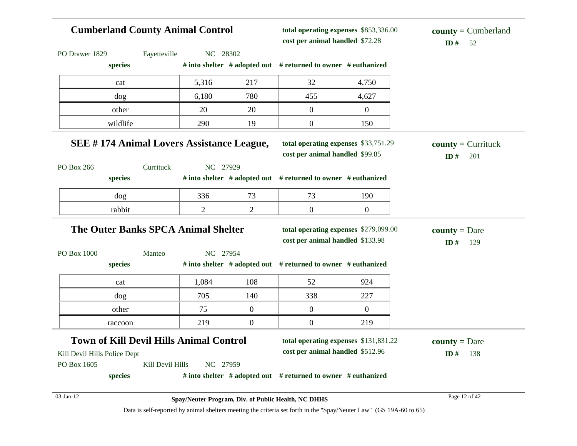| <b>Cumberland County Animal Control</b>          |                  |                |                  | total operating expenses \$853,336.00<br>cost per animal handled \$72.28  |                  | $county = Cumberland$<br>ID#<br>52 |
|--------------------------------------------------|------------------|----------------|------------------|---------------------------------------------------------------------------|------------------|------------------------------------|
| PO Drawer 1829                                   | Fayetteville     | NC 28302       |                  |                                                                           |                  |                                    |
| species                                          |                  |                |                  | # into shelter # adopted out # returned to owner # euthanized             |                  |                                    |
| cat                                              |                  | 5,316          | 217              | 32                                                                        | 4,750            |                                    |
| dog                                              |                  | 6,180          | 780              | 455                                                                       | 4,627            |                                    |
| other                                            |                  | 20             | 20               | $\overline{0}$                                                            | $\overline{0}$   |                                    |
| wildlife                                         |                  | 290            | 19               | $\boldsymbol{0}$                                                          | 150              |                                    |
| <b>SEE #174 Animal Lovers Assistance League,</b> |                  |                |                  | total operating expenses \$33,751.29<br>cost per animal handled \$99.85   |                  | $county = Currituck$<br>ID#<br>201 |
| PO Box 266<br>species                            | Currituck        | NC 27929       |                  | # into shelter # adopted out # returned to owner # euthanized             |                  |                                    |
| dog                                              |                  | 336            | 73               | 73                                                                        | 190              |                                    |
| rabbit                                           |                  | $\overline{c}$ | $\overline{c}$   | $\boldsymbol{0}$                                                          | $\boldsymbol{0}$ |                                    |
| <b>The Outer Banks SPCA Animal Shelter</b>       |                  |                |                  | total operating expenses \$279,099.00<br>cost per animal handled \$133.98 |                  | $countv = Dare$<br>ID#<br>129      |
| PO Box 1000                                      | Manteo           | NC 27954       |                  |                                                                           |                  |                                    |
| species                                          |                  |                |                  | # into shelter # adopted out # returned to owner # euthanized             |                  |                                    |
| cat                                              |                  | 1,084          | 108              | 52                                                                        | 924              |                                    |
| dog                                              |                  | 705            | 140              | 338                                                                       | 227              |                                    |
| other                                            |                  | 75             | $\overline{0}$   | $\mathbf{0}$                                                              | $\overline{0}$   |                                    |
| raccoon                                          |                  | 219            | $\boldsymbol{0}$ | $\overline{0}$                                                            | 219              |                                    |
| <b>Town of Kill Devil Hills Animal Control</b>   |                  |                |                  | total operating expenses \$131,831.22                                     |                  | <b>county</b> = Dare               |
| Kill Devil Hills Police Dept                     |                  |                |                  | cost per animal handled \$512.96                                          |                  | 138<br>ID#                         |
| PO Box 1605                                      | Kill Devil Hills | NC 27959       |                  |                                                                           |                  |                                    |
| species                                          |                  |                |                  | # into shelter # adopted out # returned to owner # euthanized             |                  |                                    |
| 03-Jan-12                                        |                  |                |                  | Spay/Neuter Program, Div. of Public Health, NC DHHS                       |                  | Page 12 of 42                      |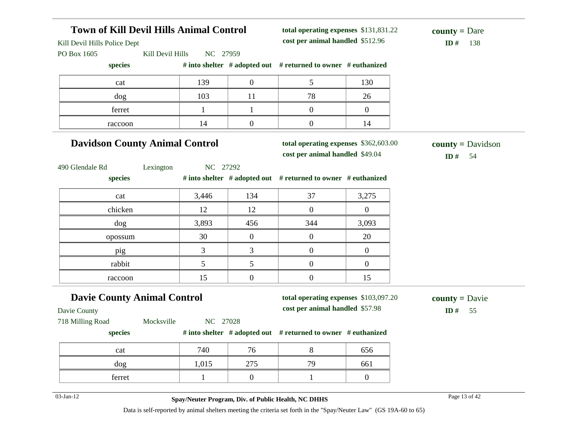### **Town of Kill Devil Hills Animal Control** Kill Devil Hills Police Dept PO Box 1605 Kill Devil Hills NC 27959 **species # into shelter # adopted out # returned to owner # euthanized total operating expenses** \$131,831.22 **cost per animal handled**  $ID#$  138 **county =** Dare cat 139 0 5 130 dog 103 11 78 26 ferret  $1 \quad 1 \quad 1 \quad 0 \quad 0$ raccoon 14 0 0 14 **Davidson County Animal Control** 490 Glendale Rd Lexington NC 27292 **species # into shelter # adopted out # returned to owner # euthanized total operating expenses** \$362,603.00 **cost per animal handled** \$49.04 **ID #** 54 **county =** Davidson cat 134 3,446 134 37 3,275 chicken 12 12 12 0 0 dog 3,893 456 344 3,093 opossum  $30 \t 30 \t 0 \t 0$  0 20 pig 1 3 3 0 0 rabbit 5 5 0 0 raccoon 15 0 0 15 **Davie County Animal Control** Davie County 718 Milling Road Mocksville NC 27028 **species # into shelter # adopted out # returned to owner # euthanized total operating expenses** \$103,097.20 **cost per animal handled**  $ID#$  55 **county =** Davie cat 1740 76 8 656 dog 1,015 275 79 661 ferret  $1 \t 0 \t 1 \t 0$

03-Jan-12 **Spay/Neuter Program, Div. of Public Health, NC DHHS** Page 13 of 42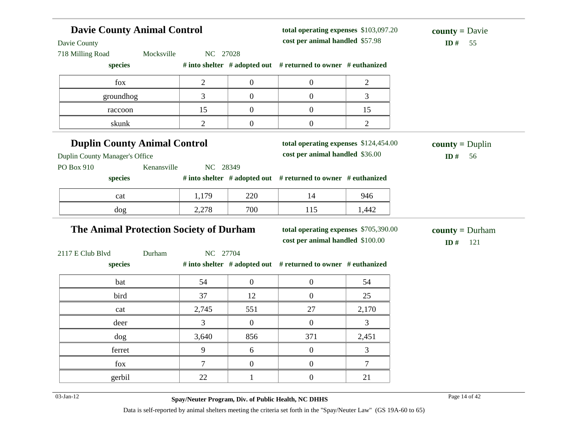| <b>Davie County Animal Control</b><br>Davie County<br>718 Milling Road | Mocksville  | NC 27028       |                  | total operating expenses \$103,097.20<br>cost per animal handled \$57.98 |                | <b>county</b> = $Davie$<br>ID#<br>55 |
|------------------------------------------------------------------------|-------------|----------------|------------------|--------------------------------------------------------------------------|----------------|--------------------------------------|
| species                                                                |             |                |                  | # into shelter # adopted out # returned to owner # euthanized            |                |                                      |
| fox                                                                    |             | $\overline{2}$ | $\overline{0}$   | $\boldsymbol{0}$                                                         | $\overline{2}$ |                                      |
| groundhog                                                              |             | 3              | $\overline{0}$   | $\boldsymbol{0}$                                                         | 3              |                                      |
| raccoon                                                                |             | 15             | $\boldsymbol{0}$ | $\boldsymbol{0}$                                                         | 15             |                                      |
| skunk                                                                  |             | 2              | $\boldsymbol{0}$ | $\overline{0}$                                                           | $\mathbf{2}$   |                                      |
| <b>Duplin County Animal Control</b>                                    |             |                |                  | total operating expenses \$124,454.00                                    |                | $county = Duplin$                    |
| Duplin County Manager's Office                                         |             |                |                  | cost per animal handled \$36.00                                          |                | ID#<br>56                            |
| PO Box 910                                                             | Kenansville | NC 28349       |                  |                                                                          |                |                                      |
| species                                                                |             |                |                  | # into shelter # adopted out # returned to owner # euthanized            |                |                                      |
| cat                                                                    |             | 1,179          | 220              | 14                                                                       | 946            |                                      |
| dog                                                                    |             | 2,278          | 700              | 115                                                                      | 1,442          |                                      |
| The Animal Protection Society of Durham                                |             |                |                  | total operating expenses \$705,390.00                                    |                | <b>county</b> = $Durham$             |
|                                                                        |             |                |                  | cost per animal handled \$100.00                                         |                | ID#<br>121                           |
| 2117 E Club Blvd                                                       | Durham      | NC 27704       |                  |                                                                          |                |                                      |
| species                                                                |             |                |                  | # into shelter # adopted out # returned to owner # euthanized            |                |                                      |
| bat                                                                    |             | 54             | $\boldsymbol{0}$ | $\boldsymbol{0}$                                                         | 54             |                                      |
| bird                                                                   |             | 37             | 12               | $\boldsymbol{0}$                                                         | 25             |                                      |
| cat                                                                    |             | 2,745          | 551              | 27                                                                       | 2,170          |                                      |
| deer                                                                   |             | $\overline{3}$ | $\overline{0}$   | $\boldsymbol{0}$                                                         | 3              |                                      |
| dog                                                                    |             | 3,640          | 856              | 371                                                                      | 2,451          |                                      |
| ferret                                                                 |             | 9              | 6                | $\boldsymbol{0}$                                                         | 3              |                                      |
| fox                                                                    |             | $\overline{7}$ | $\overline{0}$   | $\overline{0}$                                                           | $\overline{7}$ |                                      |
| gerbil                                                                 |             | 22             | $\mathbf{1}$     | $\boldsymbol{0}$                                                         | 21             |                                      |
| 03-Jan-12                                                              |             |                |                  | Spay/Neuter Program, Div. of Public Health, NC DHHS                      |                | Page 14 of 42                        |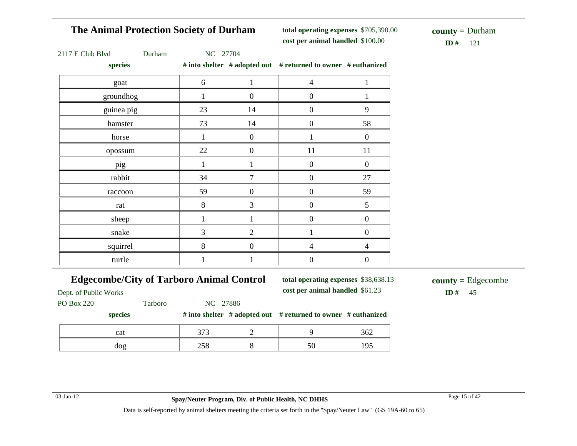# **The Animal Protection Society of Durham**

**total operating expenses** \$705,390.00 **cost per animal handled** \$100.00 **ID #** 121

**county =** Durham

|  | $2117 \text{ E}$ Club Blvd |  |  |  |
|--|----------------------------|--|--|--|
|  |                            |  |  |  |

Durham NC 27704

**species # into shelter # adopted out # returned to owner # euthanized**

| $_{\rm spec}$ |       |                  | "The shearer " adopted out " I continue to owner " cathomized |                  |
|---------------|-------|------------------|---------------------------------------------------------------|------------------|
| goat          | 6     | 1                | $\overline{4}$                                                | 1                |
| groundhog     | 1     | $\mathbf{0}$     | $\boldsymbol{0}$                                              |                  |
| guinea pig    | 23    | 14               | $\boldsymbol{0}$                                              | 9                |
| hamster       | 73    | 14               | $\boldsymbol{0}$                                              | 58               |
| horse         | 1     | $\boldsymbol{0}$ |                                                               | $\boldsymbol{0}$ |
| opossum       | 22    | $\boldsymbol{0}$ | 11                                                            | 11               |
| pig           | 1     | $\mathbf{1}$     | $\boldsymbol{0}$                                              | $\mathbf{0}$     |
| rabbit        | 34    | 7                | $\boldsymbol{0}$                                              | 27               |
| raccoon       | 59    | $\boldsymbol{0}$ | $\boldsymbol{0}$                                              | 59               |
| rat           | $8\,$ | 3                | $\boldsymbol{0}$                                              | $\mathfrak{S}$   |
| sheep         | 1     | $\mathbf{1}$     | $\boldsymbol{0}$                                              | $\boldsymbol{0}$ |
| snake         | 3     | $\overline{2}$   |                                                               | $\boldsymbol{0}$ |
| squirrel      | 8     | $\overline{0}$   | $\overline{4}$                                                | $\overline{4}$   |
| turtle        |       |                  | $\boldsymbol{0}$                                              | $\boldsymbol{0}$ |

### **Edgecombe/City of Tarboro Animal Control**

**total operating expenses** \$38,638.13 **cost per animal handled** \$61.23 **ID #** 45

**county =** Edgecombe

Dept. of Public Works PO Box 220 Tarboro NC 27886

#### **species # into shelter # adopted out # returned to owner # euthanized**

| cat             | 272               |  | 362      |
|-----------------|-------------------|--|----------|
| 10 <sup>o</sup> | 3 F O<br>ب<br>. . |  | ء ہ<br>ד |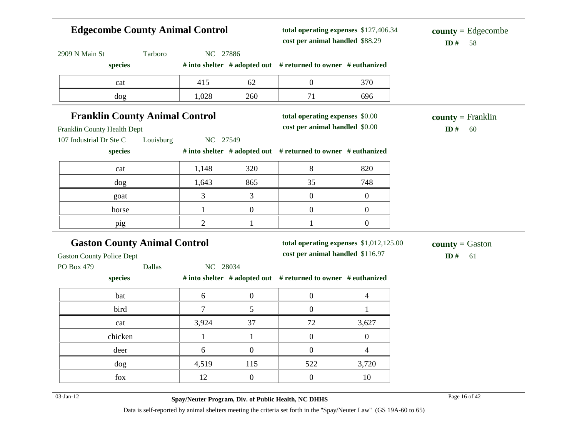|                                                       |           | <b>Edgecombe County Animal Control</b> |                  | total operating expenses \$127,406.34<br>cost per animal handled \$88.29 |                  | $county = Edgecombe$<br>ID#<br>58 |
|-------------------------------------------------------|-----------|----------------------------------------|------------------|--------------------------------------------------------------------------|------------------|-----------------------------------|
| 2909 N Main St                                        | Tarboro   | NC 27886                               |                  |                                                                          |                  |                                   |
| species                                               |           |                                        |                  | # into shelter # adopted out # returned to owner # euthanized            |                  |                                   |
| cat                                                   |           | 415                                    | 62               | $\boldsymbol{0}$                                                         | 370              |                                   |
| dog                                                   |           | 1,028                                  | 260              | 71                                                                       | 696              |                                   |
| <b>Franklin County Animal Control</b>                 |           |                                        |                  | total operating expenses \$0.00                                          |                  | $county = Franklin$               |
| Franklin County Health Dept                           |           |                                        |                  | cost per animal handled \$0.00                                           |                  | ID#<br>60                         |
| 107 Industrial Dr Ste C                               | Louisburg | NC 27549                               |                  |                                                                          |                  |                                   |
| species                                               |           |                                        |                  | # into shelter # adopted out # returned to owner # euthanized            |                  |                                   |
| cat                                                   |           | 1,148                                  | 320              | 8                                                                        | 820              |                                   |
| dog                                                   |           | 1,643                                  | 865              | 35                                                                       | 748              |                                   |
| goat                                                  |           | 3                                      | 3                | $\boldsymbol{0}$                                                         | $\boldsymbol{0}$ |                                   |
|                                                       |           |                                        |                  |                                                                          |                  |                                   |
| horse                                                 |           | 1                                      | $\boldsymbol{0}$ | $\boldsymbol{0}$                                                         | $\boldsymbol{0}$ |                                   |
| pig                                                   |           | $\mathfrak{2}$                         | $\mathbf{1}$     | $\mathbf{1}$                                                             | $\boldsymbol{0}$ |                                   |
|                                                       |           |                                        |                  | total operating expenses \$1,012,125.00                                  |                  |                                   |
| <b>Gaston County Animal Control</b>                   |           |                                        |                  | cost per animal handled \$116.97                                         |                  | $county = Gaston$<br>ID $#$<br>61 |
|                                                       | Dallas    | NC 28034                               |                  |                                                                          |                  |                                   |
| species                                               |           |                                        |                  | # into shelter # adopted out # returned to owner # euthanized            |                  |                                   |
| bat                                                   |           | 6                                      | $\boldsymbol{0}$ | $\boldsymbol{0}$                                                         | $\overline{4}$   |                                   |
| bird                                                  |           | $\overline{7}$                         | 5                | $\boldsymbol{0}$                                                         | $\mathbf{1}$     |                                   |
| <b>Gaston County Police Dept</b><br>PO Box 479<br>cat |           | 3,924                                  | 37               | 72                                                                       | 3,627            |                                   |
| chicken                                               |           | 1                                      | $\mathbf{1}$     | $\boldsymbol{0}$                                                         | $\overline{0}$   |                                   |
| deer                                                  |           | 6                                      | $\overline{0}$   | $\boldsymbol{0}$                                                         | $\overline{4}$   |                                   |
| dog                                                   |           | 4,519                                  | 115              | 522                                                                      | 3,720            |                                   |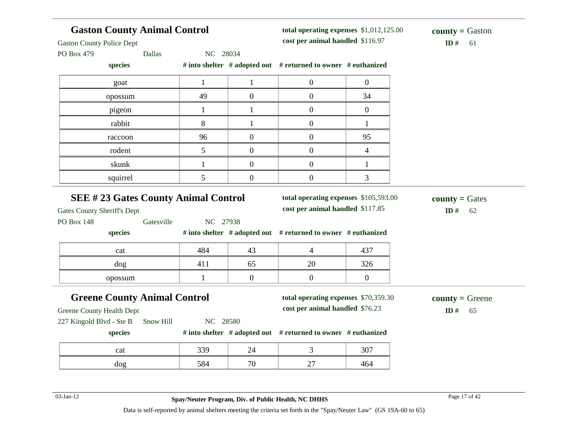| <b>Gaston County Animal Control</b><br><b>Gaston County Police Dept</b><br><b>Dallas</b><br>PO Box 479           | NC 28034     |                  | total operating expenses \$1,012,125.00<br>cost per animal handled \$116.97 |                | <b>county</b> = Gaston<br>ID#<br>61 |
|------------------------------------------------------------------------------------------------------------------|--------------|------------------|-----------------------------------------------------------------------------|----------------|-------------------------------------|
| species                                                                                                          |              |                  | # into shelter # adopted out # returned to owner # euthanized               |                |                                     |
| goat                                                                                                             | $\mathbf{1}$ | $\mathbf{1}$     | $\boldsymbol{0}$                                                            | $\overline{0}$ |                                     |
| opossum                                                                                                          | 49           | $\overline{0}$   | $\boldsymbol{0}$                                                            | 34             |                                     |
| pigeon                                                                                                           | $\mathbf{1}$ | 1                | $\mathbf{0}$                                                                | $\overline{0}$ |                                     |
| rabbit                                                                                                           | 8            | 1                | $\mathbf{0}$                                                                | 1              |                                     |
| raccoon                                                                                                          | 96           | $\boldsymbol{0}$ | $\mathbf{0}$                                                                | 95             |                                     |
| rodent                                                                                                           | 5            | $\overline{0}$   | $\overline{0}$                                                              | $\overline{4}$ |                                     |
| skunk                                                                                                            | $\mathbf{1}$ | $\boldsymbol{0}$ | $\boldsymbol{0}$                                                            | $\mathbf{1}$   |                                     |
| squirrel                                                                                                         | 5            | $\boldsymbol{0}$ | $\boldsymbol{0}$                                                            | 3              |                                     |
| <b>SEE #23 Gates County Animal Control</b>                                                                       |              |                  | total operating expenses \$105,593.00                                       |                | $county = Gates$                    |
| <b>Gates County Sheriff's Dept</b><br>Gatesville<br><b>PO Box 148</b>                                            | NC 27938     |                  | cost per animal handled \$117.85                                            |                | ID#<br>62                           |
| species                                                                                                          |              |                  | # into shelter # adopted out # returned to owner # euthanized               |                |                                     |
| cat                                                                                                              | 484          | 43               | $\overline{4}$                                                              | 437            |                                     |
| dog                                                                                                              | 411          | 65               | 20                                                                          | 326            |                                     |
| opossum                                                                                                          | 1            | $\overline{0}$   | $\mathbf{0}$                                                                | $\mathbf{0}$   |                                     |
| <b>Greene County Animal Control</b><br><b>Greene County Health Dept</b><br>227 Kingold Blvd - Ste B<br>Snow Hill | NC 28580     |                  | total operating expenses \$70,359.30<br>cost per animal handled \$76.23     |                | $county = Green$<br>ID#<br>65       |
| species                                                                                                          |              |                  | # into shelter # adopted out # returned to owner # euthanized               |                |                                     |
| cat                                                                                                              | 339          | 24               | 3                                                                           | 307            |                                     |

03-Jan-12 Page 17 of 42 **Spay/Neuter Program, Div. of Public Health, NC DHHS**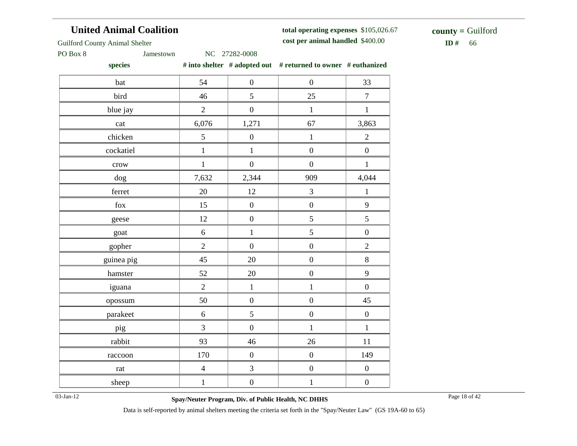# **United Animal Coalition**

**total operating expenses** \$105,026.67 **cost per animal handled**

 $$ **county =** Guilford

Guilford County Animal Shelter

PO Box 8 Jamestown NC 27282-0008

**species # into shelter # adopted out # returned to owner # euthanized**

| bat         | 54             | $\boldsymbol{0}$ | $\boldsymbol{0}$ | 33               |
|-------------|----------------|------------------|------------------|------------------|
| bird        | 46             | 5                | 25               | $\boldsymbol{7}$ |
| blue jay    | $\overline{2}$ | $\overline{0}$   | $\mathbf{1}$     | $\mathbf{1}$     |
| cat         | 6,076          | 1,271            | 67               | 3,863            |
| chicken     | 5              | $\boldsymbol{0}$ | $\,1$            | $\overline{2}$   |
| cockatiel   | $\,1$          | $\,1$            | $\boldsymbol{0}$ | $\boldsymbol{0}$ |
| crow        | $\mathbf{1}$   | $\overline{0}$   | $\boldsymbol{0}$ | $\mathbf{1}$     |
| dog         | 7,632          | 2,344            | 909              | 4,044            |
| ferret      | 20             | 12               | $\overline{3}$   | $\mathbf{1}$     |
| ${\rm fox}$ | 15             | $\boldsymbol{0}$ | $\boldsymbol{0}$ | 9                |
| geese       | 12             | $\boldsymbol{0}$ | 5                | 5                |
| goat        | $\sqrt{6}$     | $\mathbf{1}$     | 5                | $\boldsymbol{0}$ |
| gopher      | $\overline{2}$ | $\boldsymbol{0}$ | $\boldsymbol{0}$ | $\overline{c}$   |
| guinea pig  | 45             | 20               | $\boldsymbol{0}$ | 8                |
| hamster     | 52             | 20               | $\boldsymbol{0}$ | 9                |
| iguana      | $\overline{2}$ | $\,1\,$          | $\mathbf{1}$     | $\boldsymbol{0}$ |
| opossum     | 50             | $\boldsymbol{0}$ | $\boldsymbol{0}$ | 45               |
| parakeet    | 6              | 5                | $\boldsymbol{0}$ | $\boldsymbol{0}$ |
| pig         | 3              | $\boldsymbol{0}$ | $\mathbf{1}$     | $\mathbf{1}$     |
| rabbit      | 93             | 46               | 26               | 11               |
| raccoon     | 170            | $\boldsymbol{0}$ | $\overline{0}$   | 149              |
| rat         | $\overline{4}$ | 3                | $\boldsymbol{0}$ | $\boldsymbol{0}$ |
| sheep       | $\mathbf{1}$   | $\boldsymbol{0}$ | $\mathbf{1}$     | $\boldsymbol{0}$ |

03-Jan-12 Page 18 of 42 **Spay/Neuter Program, Div. of Public Health, NC DHHS**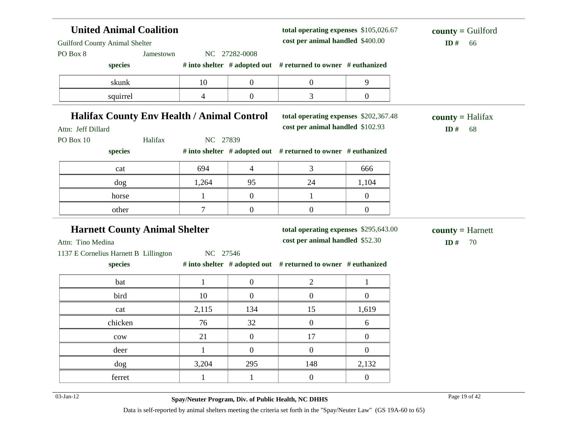| <b>United Animal Coalition</b><br><b>Guilford County Animal Shelter</b> |              |                | total operating expenses \$105,026.67<br>cost per animal handled \$400.00 |                  | $county =$ Guilford<br>ID#<br>66   |
|-------------------------------------------------------------------------|--------------|----------------|---------------------------------------------------------------------------|------------------|------------------------------------|
| PO Box 8<br>Jamestown                                                   |              | NC 27282-0008  |                                                                           |                  |                                    |
| species                                                                 |              |                | # into shelter # adopted out # returned to owner # euthanized             |                  |                                    |
| skunk                                                                   | 10           | $\overline{0}$ | $\overline{0}$                                                            | 9                |                                    |
| squirrel                                                                | 4            | $\overline{0}$ | 3                                                                         | $\boldsymbol{0}$ |                                    |
| <b>Halifax County Env Health / Animal Control</b>                       |              |                | total operating expenses \$202,367.48                                     |                  | $county = \text{Halifax}$          |
| Attn: Jeff Dillard                                                      |              |                | cost per animal handled \$102.93                                          |                  | ID $#$<br>68                       |
| Halifax<br>PO Box 10                                                    | NC 27839     |                |                                                                           |                  |                                    |
| species                                                                 |              |                | # into shelter # adopted out # returned to owner # euthanized             |                  |                                    |
| cat                                                                     | 694          | $\overline{4}$ | 3                                                                         | 666              |                                    |
| dog                                                                     | 1,264        | 95             | 24                                                                        | 1,104            |                                    |
|                                                                         |              |                |                                                                           |                  |                                    |
| horse                                                                   | $\mathbf{1}$ | $\overline{0}$ | 1                                                                         | $\overline{0}$   |                                    |
| other                                                                   | $\tau$       | $\overline{0}$ | $\overline{0}$                                                            | $\overline{0}$   |                                    |
| <b>Harnett County Animal Shelter</b><br>Attn: Tino Medina               |              |                | total operating expenses \$295,643.00<br>cost per animal handled \$52.30  |                  | $county = Harnett$<br>ID $#$<br>70 |
| 1137 E Cornelius Harnett B Lillington<br>species                        | NC 27546     |                | # into shelter # adopted out # returned to owner # euthanized             |                  |                                    |
| bat                                                                     | $\mathbf{1}$ | $\overline{0}$ | $\overline{2}$                                                            | 1                |                                    |
| bird                                                                    | 10           | $\overline{0}$ | $\overline{0}$                                                            | $\overline{0}$   |                                    |
| cat                                                                     | 2,115        | 134            | 15                                                                        | 1,619            |                                    |
| chicken                                                                 | 76           | 32             | $\overline{0}$                                                            | 6                |                                    |
| ${\rm\bf conv}$                                                         | 21           | $\overline{0}$ | 17                                                                        | $\overline{0}$   |                                    |
| deer                                                                    | $\mathbf{1}$ | $\overline{0}$ | $\boldsymbol{0}$                                                          | $\boldsymbol{0}$ |                                    |
| dog                                                                     | 3,204        | 295            | 148                                                                       | 2,132            |                                    |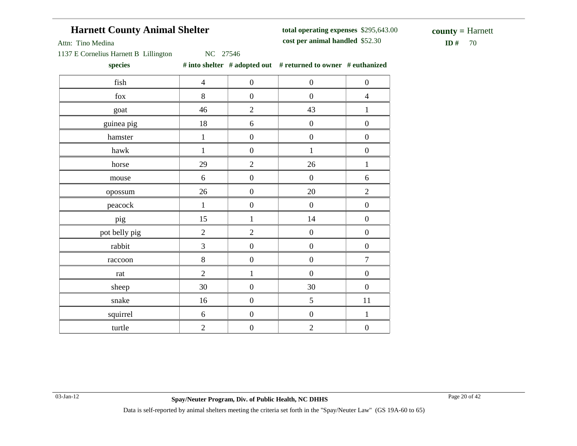# **Harnett County Animal Shelter**

**total operating expenses** \$295,643.00 **cost per animal handled**

 $ID#$  70 **county =** Harnett

Attn: Tino Medina

1137 E Cornelius Harnett B Lillington NC 27546

**species # into shelter # adopted out # returned to owner # euthanized**

| fish          | $\overline{4}$ | $\boldsymbol{0}$ | $\boldsymbol{0}$ | $\boldsymbol{0}$ |
|---------------|----------------|------------------|------------------|------------------|
| fox           | $8\,$          | $\boldsymbol{0}$ | $\boldsymbol{0}$ | $\overline{4}$   |
| goat          | 46             | $\overline{2}$   | 43               | $\mathbf{1}$     |
| guinea pig    | 18             | $6\,$            | $\overline{0}$   | $\boldsymbol{0}$ |
| hamster       | $\,1\,$        | $\boldsymbol{0}$ | $\boldsymbol{0}$ | $\boldsymbol{0}$ |
| hawk          | $\mathbf{1}$   | $\boldsymbol{0}$ | $\mathbf{1}$     | $\boldsymbol{0}$ |
| horse         | 29             | $\overline{2}$   | 26               | $\,1$            |
| mouse         | 6              | $\boldsymbol{0}$ | $\boldsymbol{0}$ | 6                |
| opossum       | 26             | $\boldsymbol{0}$ | 20               | $\overline{2}$   |
| peacock       | $\mathbf{1}$   | $\boldsymbol{0}$ | $\boldsymbol{0}$ | $\boldsymbol{0}$ |
| pig           | 15             | $\mathbf{1}$     | 14               | $\boldsymbol{0}$ |
| pot belly pig | $\overline{2}$ | $\overline{2}$   | $\boldsymbol{0}$ | $\boldsymbol{0}$ |
| rabbit        | $\overline{3}$ | $\boldsymbol{0}$ | $\boldsymbol{0}$ | $\boldsymbol{0}$ |
| raccoon       | 8              | $\boldsymbol{0}$ | $\boldsymbol{0}$ | $\overline{7}$   |
| rat           | $\overline{2}$ | $\mathbf{1}$     | $\boldsymbol{0}$ | $\boldsymbol{0}$ |
| sheep         | $30\,$         | $\boldsymbol{0}$ | 30               | $\boldsymbol{0}$ |
| snake         | 16             | $\boldsymbol{0}$ | 5                | $11\,$           |
| squirrel      | 6              | $\boldsymbol{0}$ | $\boldsymbol{0}$ | $\mathbf{1}$     |
| turtle        | $\overline{2}$ | $\boldsymbol{0}$ | $\overline{2}$   | $\boldsymbol{0}$ |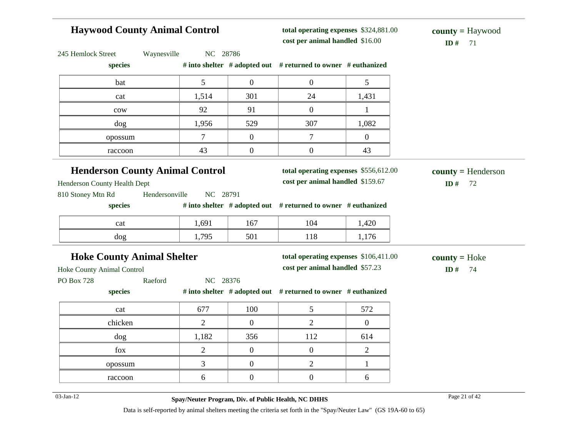### **Haywood County Animal Control** 245 Hemlock Street Waynesville NC 28786 **species # into shelter # adopted out # returned to owner # euthanized total operating expenses** \$324,881.00 **cost per animal handled** \$16.00 **ID #** 71 **county =** Haywood bat  $\begin{array}{|c|c|c|c|c|c|} \hline \text{5} & \text{0} & \text{0} & \text{5} \end{array}$ cat 1,514 301 24 1,431 cow 92 91 0 1 dog 1,956 529 307 1,082 opossum 7 0 7 0 raccoon and  $43$  0 0 43 **Henderson County Animal Control** Henderson County Health Dept 810 Stoney Mtn Rd Hendersonville NC 28791 **species # into shelter # adopted out # returned to owner # euthanized total operating expenses** \$556,612.00 **cost per animal handled** \$159.67 **ID #** 72 **county =** Henderson cat 1,691 167 104 1,420 dog 1,795 501 118 1,176 **Hoke County Animal Shelter** Hoke County Animal Control PO Box 728 Raeford NC 28376 **species # into shelter # adopted out # returned to owner # euthanized total operating expenses** \$106,411.00 **cost per animal handled** \$57.23 **ID #** 74 **county =** Hoke cat 677 100 5 572 chicken  $2 \t 2 \t 0 \t 2 \t 0$ dog 1,182 356 112 614 fox  $\begin{array}{|c|c|c|c|c|c|} \hline 2 & 0 & 0 & 2 \ \hline \end{array}$ opossum  $\begin{array}{cccc} 3 & 0 & 2 & 1 \end{array}$ raccoon  $\begin{array}{|c|c|c|c|c|c|} \hline \text{6} & \text{0} & \text{0} & \text{6} \ \hline \end{array}$ 03-Jan-12 Page 21 of 42 **Spay/Neuter Program, Div. of Public Health, NC DHHS**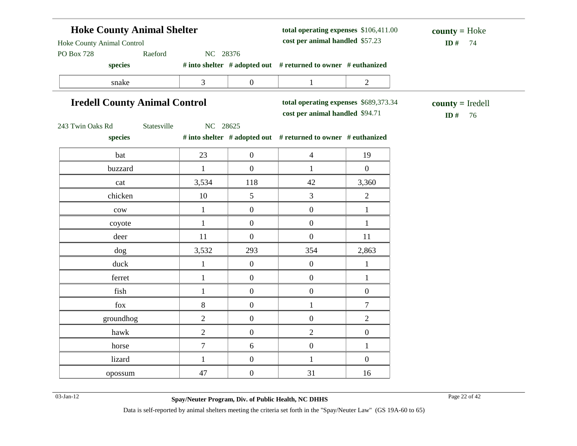| <b>Hoke County Animal Shelter</b><br>Hoke County Animal Control<br>Raeford<br>NC 28376<br><b>PO Box 728</b> |                                      |                  | total operating expenses \$106,411.00<br>cost per animal handled \$57.23 |                  | $county = Hoke$<br>ID#<br>74    |
|-------------------------------------------------------------------------------------------------------------|--------------------------------------|------------------|--------------------------------------------------------------------------|------------------|---------------------------------|
| species                                                                                                     |                                      |                  | # into shelter # adopted out # returned to owner # euthanized            |                  |                                 |
| snake                                                                                                       | $\mathfrak{Z}$                       | $\boldsymbol{0}$ | $\mathbf{1}$                                                             | $\overline{2}$   |                                 |
|                                                                                                             | <b>Iredell County Animal Control</b> |                  | total operating expenses \$689,373.34<br>cost per animal handled \$94.71 |                  | $county = Iredell$<br>ID#<br>76 |
| 243 Twin Oaks Rd<br>Statesville<br>species                                                                  | NC 28625                             |                  | # into shelter # adopted out # returned to owner # euthanized            |                  |                                 |
| bat                                                                                                         | 23                                   | $\overline{0}$   | $\overline{4}$                                                           | 19               |                                 |
| buzzard                                                                                                     | $\mathbf{1}$                         | $\boldsymbol{0}$ | $\mathbf{1}$                                                             | $\boldsymbol{0}$ |                                 |
| cat                                                                                                         | 3,534                                | 118              | 42                                                                       | 3,360            |                                 |
| chicken                                                                                                     | 10                                   | 5                | $\overline{3}$                                                           | $\overline{2}$   |                                 |
| $_{\rm{cow}}$                                                                                               | $\mathbf{1}$                         | $\overline{0}$   | $\overline{0}$                                                           | $\mathbf{1}$     |                                 |
| coyote                                                                                                      | $\mathbf{1}$                         | $\boldsymbol{0}$ | $\boldsymbol{0}$                                                         | $\mathbf{1}$     |                                 |
| deer                                                                                                        | 11                                   | $\overline{0}$   | $\overline{0}$                                                           | 11               |                                 |
| dog                                                                                                         | 3,532                                | 293              | 354                                                                      | 2,863            |                                 |
| duck                                                                                                        | $\mathbf{1}$                         | $\overline{0}$   | $\overline{0}$                                                           | $\mathbf{1}$     |                                 |
| ferret                                                                                                      | $\mathbf{1}$                         | $\overline{0}$   | $\overline{0}$                                                           | $\mathbf{1}$     |                                 |
| fish                                                                                                        | $\mathbf{1}$                         | $\overline{0}$   | $\boldsymbol{0}$                                                         | $\boldsymbol{0}$ |                                 |
| fox                                                                                                         | $8\,$                                | $\overline{0}$   | $\mathbf{1}$                                                             | $\overline{7}$   |                                 |
| groundhog                                                                                                   | $\overline{2}$                       | $\overline{0}$   | $0\,$                                                                    | $\overline{2}$   |                                 |
| hawk                                                                                                        | $\mathfrak{2}$                       | $\overline{0}$   | $\overline{2}$                                                           | $\boldsymbol{0}$ |                                 |
| horse                                                                                                       | $\boldsymbol{7}$                     | 6                | $\overline{0}$                                                           | $\mathbf{1}$     |                                 |
| lizard                                                                                                      | $\mathbf{1}$                         | $\overline{0}$   | $\mathbf{1}$                                                             | $\boldsymbol{0}$ |                                 |
| opossum                                                                                                     | 47                                   | $\overline{0}$   | 31                                                                       | 16               |                                 |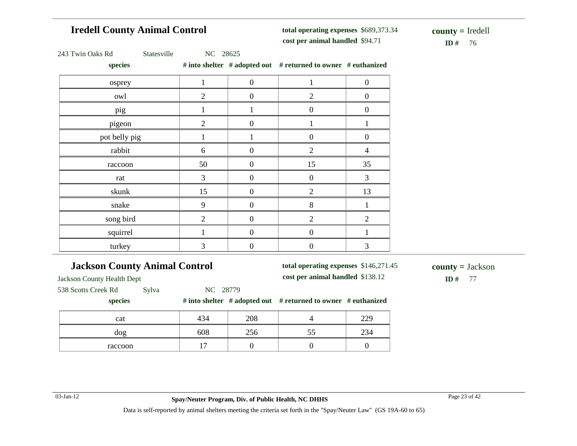# **Iredell County Animal Control**

**total operating expenses** \$689,373.34 **cost per animal handled**

**ID** # 76 **county =** Iredell

|  | 243 Twin Oaks Rd |  |  |
|--|------------------|--|--|
|--|------------------|--|--|

Statesville NC 28625

**species # into shelter # adopted out # returned to owner # euthanized**

| 1              | $\mathbf{0}$     |                  | $\overline{0}$                                                               |
|----------------|------------------|------------------|------------------------------------------------------------------------------|
| $\overline{2}$ | $\boldsymbol{0}$ | $\mathfrak{2}$   | $\boldsymbol{0}$                                                             |
|                |                  | $\boldsymbol{0}$ | $\overline{0}$                                                               |
| $\overline{2}$ | $\theta$         |                  |                                                                              |
|                |                  | $\overline{0}$   | $\boldsymbol{0}$                                                             |
| 6              | $\theta$         | $\mathfrak{2}$   | 4                                                                            |
| 50             | $\overline{0}$   | 15               | 35                                                                           |
| 3              | $\mathbf{0}$     | $\boldsymbol{0}$ | 3                                                                            |
| 15             | $\overline{0}$   | $\mathfrak{2}$   | 13                                                                           |
| 9              | $\mathbf{0}$     | 8                |                                                                              |
| $\overline{2}$ | $\overline{0}$   | $\mathfrak{2}$   | $\overline{2}$                                                               |
|                | $\mathbf{0}$     | $\boldsymbol{0}$ |                                                                              |
| 3              | $\boldsymbol{0}$ | $\boldsymbol{0}$ | 3                                                                            |
|                |                  |                  | $\pi$ muy sherict $\pi$ adopted out $\pi$ returned to owner $\pi$ equidingly |

# **Jackson County Animal Control**

**total operating expenses** \$146,271.45

**cost per animal handled**

**ID #** 77 **county =** Jackson

Jackson County Health Dept

538 Scotts Creek Rd Sylva NC 28779

**species # into shelter # adopted out # returned to owner # euthanized**

| cat     | 434                      | 208 |     | 220        |
|---------|--------------------------|-----|-----|------------|
| dog     | 608                      | 256 | ت ب | າາເ<br>234 |
| raccoon | $\overline{\phantom{0}}$ |     |     |            |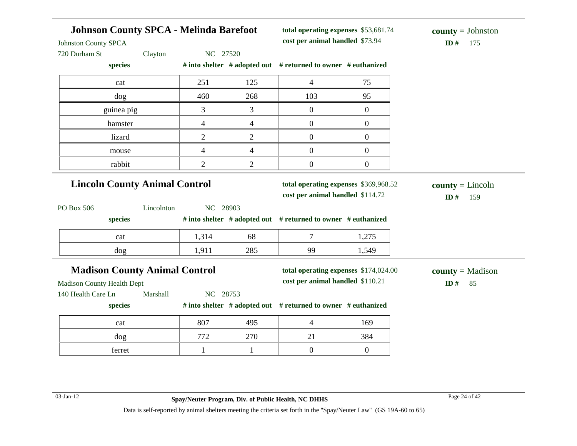| <b>Johnson County SPCA - Melinda Barefoot</b><br><b>Johnston County SPCA</b> |                | total operating expenses \$53,681.74<br>cost per animal handled \$73.94 | $county = Johnston$<br>ID#<br>175                                         |                  |                                 |
|------------------------------------------------------------------------------|----------------|-------------------------------------------------------------------------|---------------------------------------------------------------------------|------------------|---------------------------------|
| 720 Durham St<br>Clayton                                                     | NC 27520       |                                                                         |                                                                           |                  |                                 |
| species                                                                      |                |                                                                         | # into shelter # adopted out # returned to owner # euthanized             |                  |                                 |
| cat                                                                          | 251            | 125                                                                     | $\overline{4}$                                                            | 75               |                                 |
| $\log$                                                                       | 460            | 268                                                                     | 103                                                                       | 95               |                                 |
| guinea pig                                                                   | 3              | 3                                                                       | $\overline{0}$                                                            | $\overline{0}$   |                                 |
| hamster                                                                      | $\overline{4}$ | $\overline{4}$                                                          | $\overline{0}$                                                            | $\boldsymbol{0}$ |                                 |
| lizard                                                                       | $\overline{2}$ | $\overline{2}$                                                          | $\overline{0}$                                                            | $\overline{0}$   |                                 |
| mouse                                                                        | $\overline{4}$ | $\overline{\mathcal{A}}$                                                | $\overline{0}$                                                            | $\boldsymbol{0}$ |                                 |
| rabbit                                                                       | $\overline{2}$ | $\overline{2}$                                                          | $\overline{0}$                                                            | $\boldsymbol{0}$ |                                 |
| PO Box 506<br>Lincolnton                                                     | NC 28903       |                                                                         | cost per animal handled \$114.72                                          |                  | ID#<br>159                      |
| species                                                                      |                |                                                                         | # into shelter # adopted out # returned to owner # euthanized             |                  |                                 |
| cat                                                                          | 1,314          | 68                                                                      | $\tau$                                                                    | 1,275            |                                 |
| dog                                                                          | 1,911          | 285                                                                     | 99                                                                        | 1,549            |                                 |
| <b>Madison County Animal Control</b>                                         |                |                                                                         | total operating expenses \$174,024.00<br>cost per animal handled \$110.21 |                  | $county = Madison$<br>ID#<br>85 |
| <b>Madison County Health Dept</b>                                            | NC 28753       |                                                                         |                                                                           |                  |                                 |
|                                                                              |                |                                                                         |                                                                           |                  |                                 |
| Marshall<br>140 Health Care Ln<br>species                                    |                |                                                                         | # into shelter # adopted out # returned to owner # euthanized             |                  |                                 |
| cat                                                                          | 807            | 495                                                                     | $\overline{4}$                                                            | 169              |                                 |
| dog                                                                          | 772            | 270                                                                     | 21                                                                        | 384              |                                 |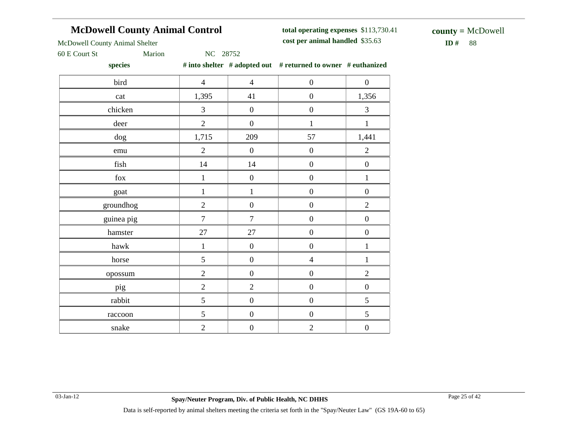# **McDowell County Animal Control**

**total operating expenses** \$113,730.41 **cost per animal handled**

\$35.63 **ID #** 88 **county =** McDowell

McDowell County Animal Shelter

60 E Court St Marion NC 28752

**species # into shelter # adopted out # returned to owner # euthanized**

|                |                  | $\theta$ modern $\theta$ and $\theta$ and $\theta$ and $\theta$ and $\theta$ and $\theta$ and $\theta$ and $\theta$ and $\theta$ and $\theta$ and $\theta$ and $\theta$ and $\theta$ and $\theta$ and $\theta$ and $\theta$ and $\theta$ and $\theta$ and $\theta$ and $\theta$ and $\theta$ and $\theta$ and $\theta$ and $\$ |                  |
|----------------|------------------|--------------------------------------------------------------------------------------------------------------------------------------------------------------------------------------------------------------------------------------------------------------------------------------------------------------------------------|------------------|
| $\overline{4}$ | $\overline{4}$   | $\boldsymbol{0}$                                                                                                                                                                                                                                                                                                               | $\boldsymbol{0}$ |
| 1,395          | 41               | $\boldsymbol{0}$                                                                                                                                                                                                                                                                                                               | 1,356            |
| $\overline{3}$ | $\boldsymbol{0}$ | $\boldsymbol{0}$                                                                                                                                                                                                                                                                                                               | $\overline{3}$   |
| $\overline{2}$ | $\boldsymbol{0}$ | $\mathbf{1}$                                                                                                                                                                                                                                                                                                                   | $\,1\,$          |
| 1,715          | 209              | 57                                                                                                                                                                                                                                                                                                                             | 1,441            |
| $\overline{2}$ | $\overline{0}$   | $\boldsymbol{0}$                                                                                                                                                                                                                                                                                                               | $\overline{2}$   |
| 14             | 14               | $\overline{0}$                                                                                                                                                                                                                                                                                                                 | $\boldsymbol{0}$ |
| $\,1$          | $\boldsymbol{0}$ | $\boldsymbol{0}$                                                                                                                                                                                                                                                                                                               | $\,1$            |
| $\,1$          | $\mathbf{1}$     | $\boldsymbol{0}$                                                                                                                                                                                                                                                                                                               | $\boldsymbol{0}$ |
| $\overline{2}$ | $\boldsymbol{0}$ | $\boldsymbol{0}$                                                                                                                                                                                                                                                                                                               | $\overline{2}$   |
| $\overline{7}$ | $\overline{7}$   | $\boldsymbol{0}$                                                                                                                                                                                                                                                                                                               | $\boldsymbol{0}$ |
| 27             | 27               | $\overline{0}$                                                                                                                                                                                                                                                                                                                 | $\boldsymbol{0}$ |
| $\mathbf 1$    | $\boldsymbol{0}$ | $\boldsymbol{0}$                                                                                                                                                                                                                                                                                                               | $\,1$            |
| 5              | $\boldsymbol{0}$ | $\overline{4}$                                                                                                                                                                                                                                                                                                                 | $\,1$            |
| $\overline{2}$ | $\boldsymbol{0}$ | $\boldsymbol{0}$                                                                                                                                                                                                                                                                                                               | $\overline{2}$   |
| $\overline{2}$ | $\overline{2}$   | $\boldsymbol{0}$                                                                                                                                                                                                                                                                                                               | $\boldsymbol{0}$ |
| 5              | $\boldsymbol{0}$ | $\boldsymbol{0}$                                                                                                                                                                                                                                                                                                               | 5                |
| $\mathfrak{S}$ | $\boldsymbol{0}$ | $\boldsymbol{0}$                                                                                                                                                                                                                                                                                                               | 5                |
| $\sqrt{2}$     | $\boldsymbol{0}$ | $\overline{2}$                                                                                                                                                                                                                                                                                                                 | $\boldsymbol{0}$ |
|                |                  |                                                                                                                                                                                                                                                                                                                                |                  |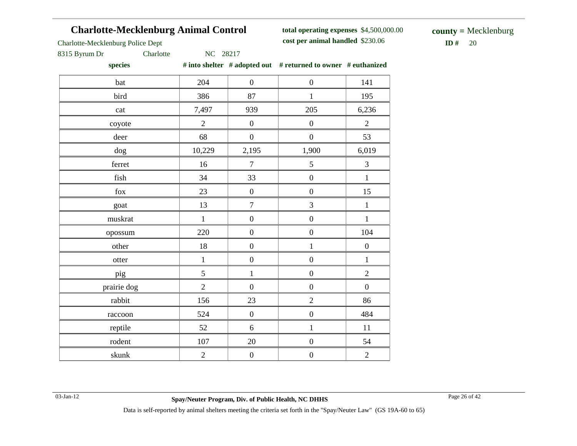# **Charlotte-Mecklenburg Animal Control**

**total operating expenses** \$4,500,000.00 **cost per animal handled** \$230.06 **ID #** 20

**county =** Mecklenburg

Charlotte-Mecklenburg Police Dept

### 8315 Byrum Dr Charlotte NC 28217

**species # into shelter # adopted out # returned to owner # euthanized**

| bat         | 204            | $\boldsymbol{0}$ | $\boldsymbol{0}$ | 141              |
|-------------|----------------|------------------|------------------|------------------|
| bird        | 386            | 87               | $\mathbf{1}$     | 195              |
| cat         | 7,497          | 939              | 205              | 6,236            |
| coyote      | $\overline{2}$ | $\boldsymbol{0}$ | $\boldsymbol{0}$ | $\overline{2}$   |
| deer        | 68             | $\boldsymbol{0}$ | $\boldsymbol{0}$ | 53               |
| dog         | 10,229         | 2,195            | 1,900            | 6,019            |
| ferret      | 16             | $\boldsymbol{7}$ | $\mathfrak s$    | $\mathfrak{Z}$   |
| fish        | 34             | 33               | $\boldsymbol{0}$ | $\mathbf{1}$     |
| fox         | 23             | $\boldsymbol{0}$ | $\boldsymbol{0}$ | 15               |
| goat        | 13             | $\boldsymbol{7}$ | 3                | $\,1$            |
| muskrat     | $\,1\,$        | $\boldsymbol{0}$ | $\boldsymbol{0}$ | $\,1$            |
| opossum     | 220            | $\boldsymbol{0}$ | $\boldsymbol{0}$ | 104              |
| other       | 18             | $\boldsymbol{0}$ | $\mathbf{1}$     | $\boldsymbol{0}$ |
| otter       | $\mathbf{1}$   | $\boldsymbol{0}$ | $\boldsymbol{0}$ | $\mathbf 1$      |
| pig         | 5              | $\mathbf{1}$     | $\boldsymbol{0}$ | $\overline{2}$   |
| prairie dog | $\overline{2}$ | $\overline{0}$   | $\overline{0}$   | $\overline{0}$   |
| rabbit      | 156            | 23               | $\overline{2}$   | 86               |
| raccoon     | 524            | $\boldsymbol{0}$ | $\boldsymbol{0}$ | 484              |
| reptile     | 52             | 6                | $\mathbf{1}$     | 11               |
| rodent      | 107            | 20               | $\boldsymbol{0}$ | 54               |
| skunk       | $\sqrt{2}$     | $\boldsymbol{0}$ | $\boldsymbol{0}$ | $\overline{2}$   |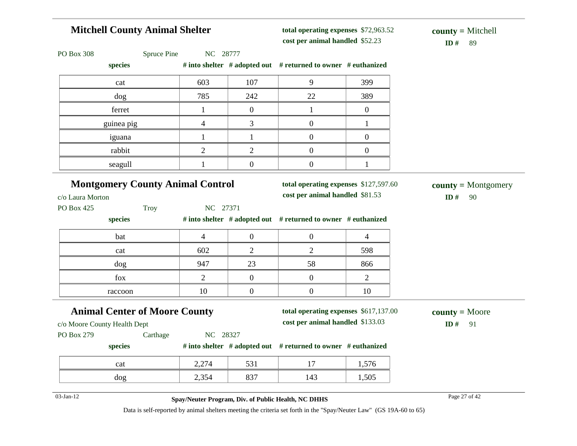# **Mitchell County Animal Shelter**

**total operating expenses** \$72,963.52 **cost per animal handled**

 $ID# 89$ **county =** Mitchell

| PO Box 308<br>Spruce Pine                                            | NC 28777       |                                                                          |                                                                                                                    |                                    |                               |
|----------------------------------------------------------------------|----------------|--------------------------------------------------------------------------|--------------------------------------------------------------------------------------------------------------------|------------------------------------|-------------------------------|
| species                                                              |                |                                                                          | # into shelter # adopted out # returned to owner # euthanized                                                      |                                    |                               |
| cat                                                                  | 603            | 107                                                                      | 9                                                                                                                  | 399                                |                               |
| dog                                                                  | 785            | 242                                                                      | 22                                                                                                                 | 389                                |                               |
| ferret                                                               | $\mathbf{1}$   | $\boldsymbol{0}$                                                         | $\mathbf{1}$                                                                                                       | $\boldsymbol{0}$                   |                               |
| guinea pig                                                           | $\overline{4}$ | 3                                                                        | $\overline{0}$                                                                                                     | $\mathbf{1}$                       |                               |
| iguana                                                               | $\mathbf{1}$   | $\mathbf{1}$                                                             | $\boldsymbol{0}$                                                                                                   | $\boldsymbol{0}$                   |                               |
| rabbit                                                               | $\overline{2}$ | $\overline{2}$                                                           | $\overline{0}$                                                                                                     | $\boldsymbol{0}$                   |                               |
| seagull                                                              | $\mathbf{1}$   | $\mathbf{0}$                                                             | $\overline{0}$                                                                                                     | $\mathbf{1}$                       |                               |
| <b>Montgomery County Animal Control</b><br>c/o Laura Morton          |                | total operating expenses \$127,597.60<br>cost per animal handled \$81.53 |                                                                                                                    | $county = Montgomery$<br>ID#<br>90 |                               |
| PO Box 425<br><b>Troy</b>                                            | NC 27371       |                                                                          |                                                                                                                    |                                    |                               |
| species                                                              |                |                                                                          | # into shelter # adopted out # returned to owner # euthanized                                                      |                                    |                               |
| bat                                                                  | $\overline{4}$ | $\boldsymbol{0}$                                                         | $\boldsymbol{0}$                                                                                                   | 4                                  |                               |
| cat                                                                  | 602            | $\overline{2}$                                                           | $\overline{2}$                                                                                                     | 598                                |                               |
| dog                                                                  | 947            | 23                                                                       | 58                                                                                                                 | 866                                |                               |
| fox                                                                  | $\overline{2}$ | $\boldsymbol{0}$                                                         | $\boldsymbol{0}$                                                                                                   | $\overline{2}$                     |                               |
| raccoon                                                              | 10             | $\boldsymbol{0}$                                                         | $\boldsymbol{0}$                                                                                                   | 10                                 |                               |
| <b>Animal Center of Moore County</b><br>c/o Moore County Health Dept |                |                                                                          | total operating expenses \$617,137.00<br>cost per animal handled \$133.03                                          |                                    | $county = Moore$<br>ID#<br>91 |
| PO Box 279<br>Carthage                                               | NC 28327       |                                                                          |                                                                                                                    |                                    |                               |
| species                                                              |                |                                                                          | # into shelter # adopted out # returned to owner # euthanized                                                      |                                    |                               |
| cat                                                                  | 2,274          | 531                                                                      | 17                                                                                                                 | 1,576                              |                               |
| dog                                                                  | 2,354          | 837                                                                      | 143                                                                                                                | 1,505                              |                               |
| 03-Jan-12                                                            |                |                                                                          | Spay/Neuter Program, Div. of Public Health, NC DHHS                                                                |                                    | Page 27 of 42                 |
|                                                                      |                |                                                                          | Data is self-reported by animal shelters meeting the criteria set forth in the "Spay/Neuter Law" (GS 19A-60 to 65) |                                    |                               |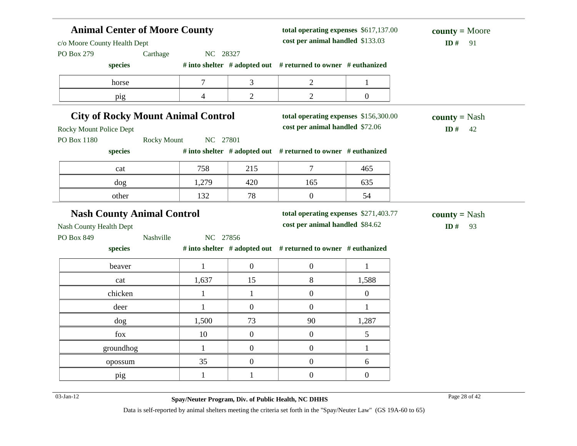| <b>Animal Center of Moore County</b><br>c/o Moore County Health Dept<br>PO Box 279<br>Carthage |                  |                                                                               | total operating expenses \$617,137.00<br>$county = Moore$<br>cost per animal handled \$133.03<br>ID $#$ |                                                                                                                                                                                                                                                                                                                                                         |  |
|------------------------------------------------------------------------------------------------|------------------|-------------------------------------------------------------------------------|---------------------------------------------------------------------------------------------------------|---------------------------------------------------------------------------------------------------------------------------------------------------------------------------------------------------------------------------------------------------------------------------------------------------------------------------------------------------------|--|
|                                                                                                |                  |                                                                               |                                                                                                         |                                                                                                                                                                                                                                                                                                                                                         |  |
| $\tau$                                                                                         | 3                | $\overline{c}$                                                                | $\mathbf{1}$                                                                                            |                                                                                                                                                                                                                                                                                                                                                         |  |
| $\overline{4}$                                                                                 | $\overline{2}$   | $\overline{2}$                                                                | $\boldsymbol{0}$                                                                                        |                                                                                                                                                                                                                                                                                                                                                         |  |
|                                                                                                |                  |                                                                               |                                                                                                         | $county = Nash$<br>ID#<br>42                                                                                                                                                                                                                                                                                                                            |  |
| <b>Rocky Mount</b>                                                                             |                  |                                                                               |                                                                                                         |                                                                                                                                                                                                                                                                                                                                                         |  |
| 758                                                                                            | 215              | $\tau$                                                                        | 465                                                                                                     |                                                                                                                                                                                                                                                                                                                                                         |  |
| 1,279                                                                                          | 420              | 165                                                                           | 635                                                                                                     |                                                                                                                                                                                                                                                                                                                                                         |  |
| 132                                                                                            | 78               | $\boldsymbol{0}$                                                              | 54                                                                                                      |                                                                                                                                                                                                                                                                                                                                                         |  |
| <b>Nash County Animal Control</b>                                                              |                  |                                                                               |                                                                                                         | <b>county</b> = Nash                                                                                                                                                                                                                                                                                                                                    |  |
|                                                                                                |                  |                                                                               |                                                                                                         | ID $#$<br>93                                                                                                                                                                                                                                                                                                                                            |  |
|                                                                                                |                  |                                                                               |                                                                                                         |                                                                                                                                                                                                                                                                                                                                                         |  |
|                                                                                                |                  |                                                                               |                                                                                                         |                                                                                                                                                                                                                                                                                                                                                         |  |
| $\mathbf{1}$                                                                                   | $\boldsymbol{0}$ | $\boldsymbol{0}$                                                              | 1                                                                                                       |                                                                                                                                                                                                                                                                                                                                                         |  |
| 1,637                                                                                          | 15               | $8\,$                                                                         | 1,588                                                                                                   |                                                                                                                                                                                                                                                                                                                                                         |  |
| $\mathbf{1}$                                                                                   | $\mathbf{1}$     | $\overline{0}$                                                                | $\overline{0}$                                                                                          |                                                                                                                                                                                                                                                                                                                                                         |  |
| $\mathbf{1}$                                                                                   | $\overline{0}$   | $\boldsymbol{0}$                                                              | $\mathbf{1}$                                                                                            |                                                                                                                                                                                                                                                                                                                                                         |  |
|                                                                                                |                  |                                                                               |                                                                                                         |                                                                                                                                                                                                                                                                                                                                                         |  |
| 1,500                                                                                          | 73               | 90                                                                            | 1,287                                                                                                   |                                                                                                                                                                                                                                                                                                                                                         |  |
| 10                                                                                             | $\boldsymbol{0}$ | $\boldsymbol{0}$                                                              | 5                                                                                                       |                                                                                                                                                                                                                                                                                                                                                         |  |
| $\mathbf{1}$                                                                                   | $\boldsymbol{0}$ | $\boldsymbol{0}$                                                              | $\mathbf{1}$                                                                                            |                                                                                                                                                                                                                                                                                                                                                         |  |
| 35                                                                                             | $\boldsymbol{0}$ | $\boldsymbol{0}$                                                              | 6                                                                                                       |                                                                                                                                                                                                                                                                                                                                                         |  |
|                                                                                                | Nashville        | NC 28327<br><b>City of Rocky Mount Animal Control</b><br>NC 27801<br>NC 27856 |                                                                                                         | # into shelter # adopted out # returned to owner # euthanized<br>total operating expenses \$156,300.00<br>cost per animal handled \$72.06<br># into shelter # adopted out # returned to owner # euthanized<br>total operating expenses \$271,403.77<br>cost per animal handled \$84.62<br># into shelter # adopted out # returned to owner # euthanized |  |

03-Jan-12 Page 28 of 42 **Spay/Neuter Program, Div. of Public Health, NC DHHS**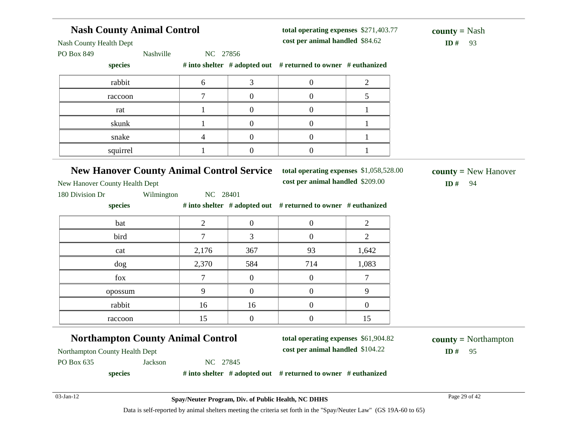|                                                                                                                    | <b>Nash County Animal Control</b><br>total operating expenses \$271,403.77                                     |                |                  |                                                               | <b>county</b> = Nash |                        |
|--------------------------------------------------------------------------------------------------------------------|----------------------------------------------------------------------------------------------------------------|----------------|------------------|---------------------------------------------------------------|----------------------|------------------------|
| Nash County Health Dept                                                                                            |                                                                                                                |                |                  | cost per animal handled \$84.62                               |                      | ID#<br>93              |
| PO Box 849                                                                                                         | Nashville                                                                                                      | NC 27856       |                  |                                                               |                      |                        |
| species                                                                                                            |                                                                                                                |                |                  | # into shelter # adopted out # returned to owner # euthanized |                      |                        |
| rabbit                                                                                                             |                                                                                                                | 6              | 3                | $\overline{0}$                                                | $\overline{c}$       |                        |
| raccoon                                                                                                            |                                                                                                                | 7              | $\overline{0}$   | $\mathbf{0}$                                                  | 5                    |                        |
| rat                                                                                                                |                                                                                                                | $\mathbf{1}$   | $\overline{0}$   | $\overline{0}$                                                | 1                    |                        |
| skunk                                                                                                              |                                                                                                                | $\mathbf{1}$   | $\overline{0}$   | $\overline{0}$                                                | 1                    |                        |
| snake                                                                                                              |                                                                                                                | 4              | $\overline{0}$   | $\mathbf{0}$                                                  | 1                    |                        |
| squirrel                                                                                                           |                                                                                                                | 1              | $\boldsymbol{0}$ | $\overline{0}$                                                | 1                    |                        |
| <b>New Hanover County Animal Control Service</b>                                                                   |                                                                                                                |                |                  | total operating expenses \$1,058,528.00                       |                      | $county = New Hanover$ |
|                                                                                                                    |                                                                                                                |                |                  | cost per animal handled \$209.00                              |                      | ID#<br>94              |
| New Hanover County Health Dept<br>180 Division Dr                                                                  | Wilmington                                                                                                     | NC 28401       |                  |                                                               |                      |                        |
| species                                                                                                            |                                                                                                                |                |                  | # into shelter # adopted out # returned to owner # euthanized |                      |                        |
| bat                                                                                                                |                                                                                                                | $\overline{2}$ | $\mathbf{0}$     | $\overline{0}$                                                | $\overline{2}$       |                        |
| bird                                                                                                               |                                                                                                                | $\overline{7}$ | 3                | $\overline{0}$                                                | $\overline{2}$       |                        |
| cat                                                                                                                |                                                                                                                | 2,176          | 367              | 93                                                            | 1,642                |                        |
| dog                                                                                                                |                                                                                                                | 2,370          | 584              | 714                                                           | 1,083                |                        |
| fox                                                                                                                |                                                                                                                | $\overline{7}$ | $\mathbf{0}$     | $\overline{0}$                                                | $\tau$               |                        |
| opossum                                                                                                            |                                                                                                                | 9              | $\mathbf{0}$     | $\overline{0}$                                                | 9                    |                        |
| rabbit                                                                                                             |                                                                                                                | 16             | 16               | $\boldsymbol{0}$                                              | $\boldsymbol{0}$     |                        |
| raccoon                                                                                                            |                                                                                                                | 15             | $\mathbf{0}$     | $\overline{0}$                                                | 15                   |                        |
|                                                                                                                    |                                                                                                                |                |                  | total operating expenses \$61,904.82                          |                      | $county = Northampton$ |
|                                                                                                                    | <b>Northampton County Animal Control</b><br>cost per animal handled \$104.22<br>Northampton County Health Dept |                |                  |                                                               | $ID#$ 95             |                        |
| PO Box 635                                                                                                         | Jackson                                                                                                        | NC 27845       |                  |                                                               |                      |                        |
| species                                                                                                            |                                                                                                                |                |                  | # into shelter # adopted out # returned to owner # euthanized |                      |                        |
| $03$ -Jan-12                                                                                                       |                                                                                                                |                |                  |                                                               |                      | Page 29 of 42          |
| Data is self-reported by animal shelters meeting the criteria set forth in the "Spay/Neuter Law" (GS 19A-60 to 65) |                                                                                                                |                |                  | Spay/Neuter Program, Div. of Public Health, NC DHHS           |                      |                        |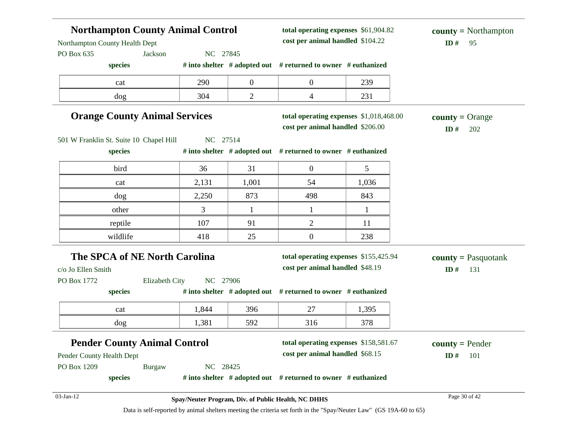| <b>Northampton County Animal Control</b><br>Northampton County Health Dept |                                                     | total operating expenses \$61,904.82<br>cost per animal handled \$104.22 | $county = \text{Northampton}$<br>ID#<br>95                               |              |                                     |
|----------------------------------------------------------------------------|-----------------------------------------------------|--------------------------------------------------------------------------|--------------------------------------------------------------------------|--------------|-------------------------------------|
| PO Box 635<br>Jackson                                                      | NC 27845                                            |                                                                          |                                                                          |              |                                     |
| species                                                                    |                                                     |                                                                          | # into shelter # adopted out # returned to owner # euthanized            |              |                                     |
| cat                                                                        | 290                                                 | $\boldsymbol{0}$                                                         | $\boldsymbol{0}$                                                         | 239          |                                     |
| dog                                                                        | 304                                                 | $\mathbf{2}$                                                             | $\overline{\mathcal{A}}$                                                 | 231          |                                     |
| <b>Orange County Animal Services</b>                                       | <b>county</b> = Orange<br>ID#<br>202                |                                                                          |                                                                          |              |                                     |
| 501 W Franklin St. Suite 10 Chapel Hill                                    | NC 27514                                            |                                                                          |                                                                          |              |                                     |
| species                                                                    |                                                     |                                                                          | # into shelter # adopted out # returned to owner # euthanized            |              |                                     |
| bird                                                                       | 36                                                  | 31                                                                       | $\boldsymbol{0}$                                                         | 5            |                                     |
| cat                                                                        | 2,131                                               | 1,001                                                                    | 54                                                                       | 1,036        |                                     |
| dog                                                                        | 2,250                                               | 873                                                                      | 498                                                                      | 843          |                                     |
| other                                                                      | 3                                                   | $\mathbf{1}$                                                             | $\mathbf{1}$                                                             | $\mathbf{1}$ |                                     |
| reptile                                                                    | 107                                                 | 91                                                                       | $\overline{c}$                                                           | 11           |                                     |
| wildlife                                                                   | 418                                                 | 25                                                                       | $\boldsymbol{0}$                                                         | 238          |                                     |
| The SPCA of NE North Carolina<br>c/o Jo Ellen Smith                        |                                                     |                                                                          | total operating expenses \$155,425.94<br>cost per animal handled \$48.19 |              | $county = Pasquotank$<br>ID#<br>131 |
| PO Box 1772<br>Elizabeth City                                              | NC 27906                                            |                                                                          |                                                                          |              |                                     |
| species                                                                    |                                                     |                                                                          | # into shelter $#$ adopted out $#$ returned to owner $#$ euthanized      |              |                                     |
| cat                                                                        | 1,844                                               | 396                                                                      | 27                                                                       | 1,395        |                                     |
| dog                                                                        | 1,381                                               | 592                                                                      | 316                                                                      | 378          |                                     |
| <b>Pender County Animal Control</b>                                        |                                                     |                                                                          | total operating expenses \$158,581.67                                    |              | $county = Pender$                   |
| Pender County Health Dept                                                  |                                                     |                                                                          | cost per animal handled \$68.15                                          |              | 101<br>ID#                          |
| PO Box 1209<br><b>Burgaw</b>                                               | NC 28425                                            |                                                                          |                                                                          |              |                                     |
| species                                                                    |                                                     |                                                                          | # into shelter $#$ adopted out $#$ returned to owner $#$ euthanized      |              |                                     |
| 03-Jan-12                                                                  | Spay/Neuter Program, Div. of Public Health, NC DHHS |                                                                          |                                                                          |              | Page 30 of 42                       |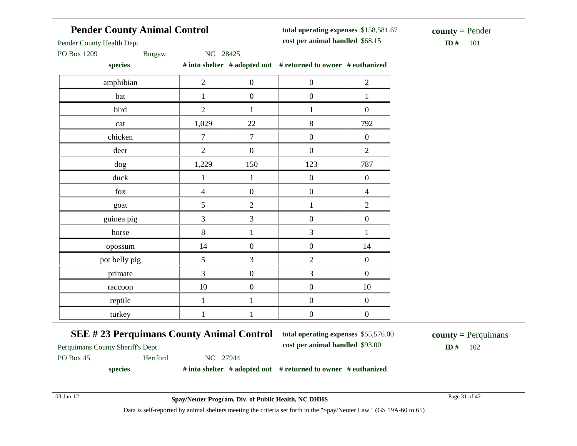# **Pender County Animal Control**

**total operating expenses** \$158,581.67 **cost per animal handled**

 $$ **county =** Pender

Pender County Health Dept

PO Box 1209 Burgaw NC 28425

**species # into shelter # adopted out # returned to owner # euthanized**

| ------        |                |                  | $\cdots$ - - - - $\cdots$ |                  |
|---------------|----------------|------------------|---------------------------|------------------|
| amphibian     | $\overline{2}$ | $\boldsymbol{0}$ | $\boldsymbol{0}$          | $\overline{2}$   |
| bat           | 1              | $\boldsymbol{0}$ | $\boldsymbol{0}$          | $\mathbf{1}$     |
| bird          | $\overline{2}$ | 1                | $\mathbf{1}$              | $\boldsymbol{0}$ |
| cat           | 1,029          | $22\,$           | $8\,$                     | 792              |
| chicken       | $\tau$         | $\tau$           | $\boldsymbol{0}$          | $\boldsymbol{0}$ |
| deer          | $\overline{2}$ | $\boldsymbol{0}$ | $\boldsymbol{0}$          | $\overline{2}$   |
| dog           | 1,229          | 150              | 123                       | 787              |
| duck          | $\mathbf{1}$   | $\mathbf{1}$     | $\boldsymbol{0}$          | $\boldsymbol{0}$ |
| ${\rm fox}$   | $\overline{4}$ | $\boldsymbol{0}$ | $\boldsymbol{0}$          | $\overline{4}$   |
| goat          | 5              | $\overline{2}$   | $\mathbf{1}$              | $\overline{2}$   |
| guinea pig    | 3              | $\mathfrak{Z}$   | $\boldsymbol{0}$          | $\boldsymbol{0}$ |
| horse         | $8\,$          | $\mathbf{1}$     | 3                         | $\mathbf{1}$     |
| opossum       | 14             | $\boldsymbol{0}$ | $\boldsymbol{0}$          | 14               |
| pot belly pig | 5              | 3                | $\overline{2}$            | $\boldsymbol{0}$ |
| primate       | 3              | $\boldsymbol{0}$ | 3                         | $\boldsymbol{0}$ |
| raccoon       | 10             | $\boldsymbol{0}$ | $\boldsymbol{0}$          | $10\,$           |
| reptile       | $\mathbf{1}$   | $\mathbf{1}$     | $\boldsymbol{0}$          | $\boldsymbol{0}$ |
| turkey        | $\mathbf{1}$   | $\mathbf{1}$     | $\boldsymbol{0}$          | $\boldsymbol{0}$ |
|               |                |                  |                           |                  |

### **SEE # 23 Perquimans County Animal Control**

**total operating expenses** \$55,576.00

**cost per animal handled** \$93.00 **ID #** 102 **county =** Perquimans

Perquimans County Sheriff's Dept

PO Box 45 Hertford NC 27944

**species # into shelter # adopted out # returned to owner # euthanized**

03-Jan-12 Page 31 of 42 **Spay/Neuter Program, Div. of Public Health, NC DHHS**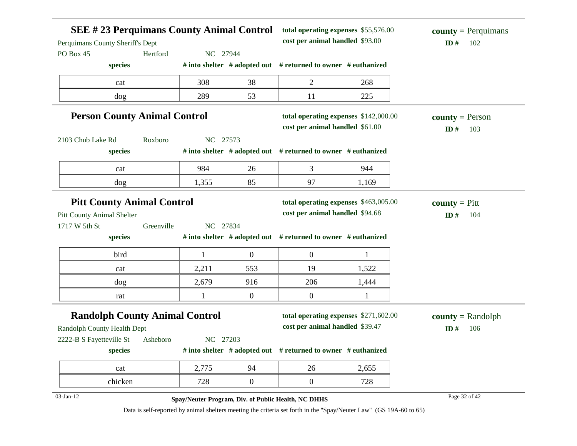|                                                    |            | <b>SEE #23 Perquimans County Animal Control</b><br>total operating expenses \$55,576.00<br>$county = Perquimans$<br>cost per animal handled \$93.00<br>ID $#$ |                  |                                                                                                                    |              |                                         |
|----------------------------------------------------|------------|---------------------------------------------------------------------------------------------------------------------------------------------------------------|------------------|--------------------------------------------------------------------------------------------------------------------|--------------|-----------------------------------------|
| Perquimans County Sheriff's Dept<br>PO Box 45      | Hertford   | NC 27944                                                                                                                                                      |                  |                                                                                                                    |              | 102                                     |
| species                                            |            |                                                                                                                                                               |                  | # into shelter $#$ adopted out $#$ returned to owner $#$ euthanized                                                |              |                                         |
| cat                                                |            | 308                                                                                                                                                           | 38               | $\overline{2}$                                                                                                     | 268          |                                         |
| dog                                                |            | 289                                                                                                                                                           | 53               | 11                                                                                                                 | 225          |                                         |
| <b>Person County Animal Control</b>                |            |                                                                                                                                                               |                  | total operating expenses \$142,000.00<br>cost per animal handled \$61.00                                           |              | <b>county</b> = Person<br>ID $#$<br>103 |
| 2103 Chub Lake Rd                                  | Roxboro    | NC 27573                                                                                                                                                      |                  |                                                                                                                    |              |                                         |
| species                                            |            |                                                                                                                                                               |                  | # into shelter # adopted out # returned to owner # euthanized                                                      |              |                                         |
| cat                                                |            | 984                                                                                                                                                           | 26               | 3                                                                                                                  | 944          |                                         |
| dog                                                |            | 1,355                                                                                                                                                         | 85               | 97                                                                                                                 | 1,169        |                                         |
| <b>Pitt County Animal Control</b>                  |            |                                                                                                                                                               |                  | total operating expenses \$463,005.00<br>cost per animal handled \$94.68                                           |              | <b>county</b> = $P$ itt                 |
| <b>Pitt County Animal Shelter</b><br>1717 W 5th St | Greenville | NC 27834                                                                                                                                                      |                  |                                                                                                                    |              | ID#<br>104                              |
| species                                            |            |                                                                                                                                                               |                  | # into shelter # adopted out # returned to owner # euthanized                                                      |              |                                         |
| bird                                               |            | $\mathbf{1}$                                                                                                                                                  | $\boldsymbol{0}$ | $\boldsymbol{0}$                                                                                                   | $\mathbf{1}$ |                                         |
| cat                                                |            | 2,211                                                                                                                                                         | 553              | 19                                                                                                                 | 1,522        |                                         |
| dog                                                |            | 2,679                                                                                                                                                         | 916              | 206                                                                                                                | 1,444        |                                         |
| rat                                                |            | 1                                                                                                                                                             | $\boldsymbol{0}$ | $\boldsymbol{0}$                                                                                                   | $\mathbf{1}$ |                                         |
| <b>Randolph County Animal Control</b>              |            |                                                                                                                                                               |                  | total operating expenses \$271,602.00                                                                              |              | $county = Randombh$                     |
| Randolph County Health Dept                        |            |                                                                                                                                                               |                  | cost per animal handled \$39.47                                                                                    |              | ID#<br>106                              |
| 2222-B S Fayetteville St<br>species                | Asheboro   | NC 27203                                                                                                                                                      |                  | # into shelter # adopted out # returned to owner # euthanized                                                      |              |                                         |
| cat                                                |            | 2,775                                                                                                                                                         | 94               | 26                                                                                                                 | 2,655        |                                         |
| chicken                                            |            | 728                                                                                                                                                           | $\overline{0}$   | $\boldsymbol{0}$                                                                                                   | 728          |                                         |
| 03-Jan-12                                          |            |                                                                                                                                                               |                  | Spay/Neuter Program, Div. of Public Health, NC DHHS                                                                |              | Page 32 of 42                           |
|                                                    |            |                                                                                                                                                               |                  | Data is self-reported by animal shelters meeting the criteria set forth in the "Spay/Neuter Law" (GS 19A-60 to 65) |              |                                         |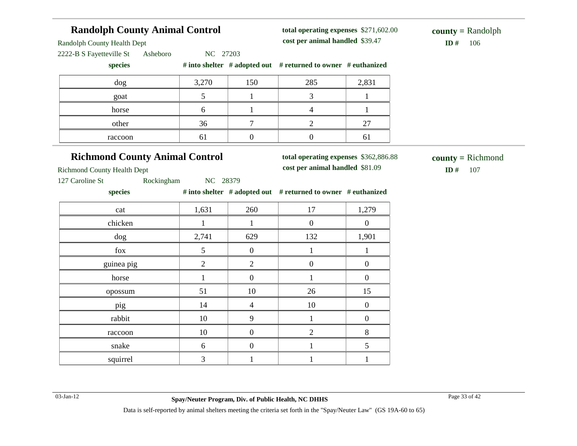# **Randolph County Animal Control**

Randolph County Health Dept

Richmond County Health Dept

2222-B S Fayetteville St Asheboro NC 27203

| species |  |  | # into shelter $\#$ adopted out $\#$ returned to owner $\#$ euthanized |  |
|---------|--|--|------------------------------------------------------------------------|--|
|---------|--|--|------------------------------------------------------------------------|--|

| dog     | 3,270    | 150 | 285 | 2,831 |
|---------|----------|-----|-----|-------|
| goat    |          |     |     |       |
| horse   | $\sigma$ |     |     |       |
| other   | 36       |     |     | 27    |
| raccoon | 61       |     |     | 01    |

# **Richmond County Animal Control**

**total operating expenses** \$362,886.88

**total operating expenses** \$271,602.00

**cost per animal handled** \$81.09 **ID #** 107

**county =** Richmond

127 Caroline St Rockingham NC 28379

**species # into shelter # adopted out # returned to owner # euthanized**

| cat        | 1,631          | 260            | 17             | 1,279            |
|------------|----------------|----------------|----------------|------------------|
| chicken    |                |                | $\overline{0}$ | $\boldsymbol{0}$ |
| dog        | 2,741          | 629            | 132            | 1,901            |
| fox        | 5              | $\overline{0}$ |                |                  |
| guinea pig | $\overline{2}$ | $\overline{2}$ | $\Omega$       | $\theta$         |
| horse      |                | $\Omega$       |                | $\theta$         |
| opossum    | 51             | 10             | 26             | 15               |
| pig        | 14             | $\overline{4}$ | 10             | 0                |
| rabbit     | 10             | 9              |                | 0                |
| raccoon    | 10             |                | $\mathfrak{D}$ | 8                |
| snake      | 6              |                |                | 5                |
| squirrel   | 3              |                |                |                  |

### **cost per animal handled** \$39.47 **ID #** 106 **county =** Randolph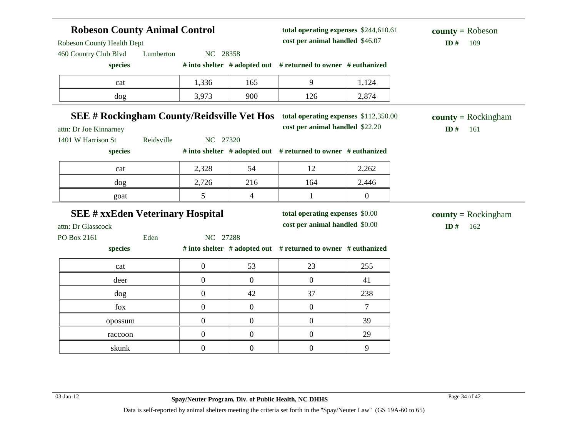| <b>Robeson County Animal Control</b><br>Robeson County Health Dept |                  |                  | total operating expenses \$244,610.61<br>cost per animal handled \$46.07 |                  | $county = Robeson$<br>ID#<br>109 |
|--------------------------------------------------------------------|------------------|------------------|--------------------------------------------------------------------------|------------------|----------------------------------|
| 460 Country Club Blvd<br>Lumberton                                 | NC 28358         |                  |                                                                          |                  |                                  |
| species                                                            |                  |                  | # into shelter # adopted out # returned to owner # euthanized            |                  |                                  |
| cat                                                                | 1,336            | 165              | 9                                                                        | 1,124            |                                  |
| dog                                                                | 3,973            | 900              | 126                                                                      | 2,874            |                                  |
| <b>SEE # Rockingham County/Reidsville Vet Hos</b>                  |                  |                  | total operating expenses \$112,350.00                                    |                  | $county = Rockingham$            |
| attn: Dr Joe Kinnarney                                             |                  |                  | cost per animal handled \$22.20                                          |                  | ID#<br>161                       |
| 1401 W Harrison St<br>Reidsville                                   | NC 27320         |                  |                                                                          |                  |                                  |
| species                                                            |                  |                  | # into shelter # adopted out # returned to owner # euthanized            |                  |                                  |
| cat                                                                | 2,328            | 54               | 12                                                                       | 2,262            |                                  |
| dog                                                                | 2,726            | 216              | 164                                                                      | 2,446            |                                  |
| goat                                                               | 5                | 4                | $\mathbf{1}$                                                             | $\boldsymbol{0}$ |                                  |
| <b>SEE # xxEden Veterinary Hospital</b>                            |                  |                  | total operating expenses \$0.00                                          |                  | $county = Rockingham$            |
| attn: Dr Glasscock                                                 |                  |                  | cost per animal handled \$0.00                                           |                  | ID#<br>162                       |
| Eden<br>PO Box 2161                                                | NC 27288         |                  |                                                                          |                  |                                  |
| species                                                            |                  |                  | # into shelter # adopted out # returned to owner # euthanized            |                  |                                  |
| cat                                                                | $\boldsymbol{0}$ | 53               | 23                                                                       | 255              |                                  |
|                                                                    |                  |                  |                                                                          |                  |                                  |
| deer                                                               | $\boldsymbol{0}$ | $\boldsymbol{0}$ | $\boldsymbol{0}$                                                         | 41               |                                  |
| dog                                                                | $\boldsymbol{0}$ | 42               | 37                                                                       | 238              |                                  |
| fox                                                                | $\boldsymbol{0}$ | $\boldsymbol{0}$ | $\boldsymbol{0}$                                                         | $\tau$           |                                  |
| opossum                                                            | $\boldsymbol{0}$ | $\boldsymbol{0}$ | $\boldsymbol{0}$                                                         | 39               |                                  |
| raccoon                                                            | $\boldsymbol{0}$ | $\boldsymbol{0}$ | $\boldsymbol{0}$                                                         | 29               |                                  |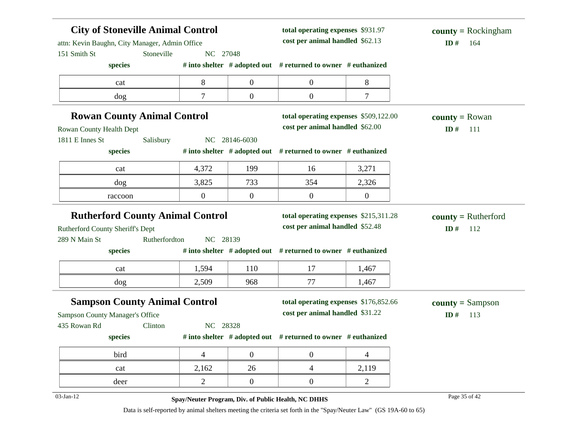| <b>City of Stoneville Animal Control</b><br>total operating expenses \$931.97<br>cost per animal handled \$62.13<br>attn: Kevin Baughn, City Manager, Admin Office |                |                  |                                                                          | $county = Rockingham$<br>ID#<br>164 |                                     |
|--------------------------------------------------------------------------------------------------------------------------------------------------------------------|----------------|------------------|--------------------------------------------------------------------------|-------------------------------------|-------------------------------------|
| 151 Smith St<br>Stoneville                                                                                                                                         | NC 27048       |                  |                                                                          |                                     |                                     |
| species                                                                                                                                                            |                |                  | # into shelter # adopted out # returned to owner # euthanized            |                                     |                                     |
| cat                                                                                                                                                                | 8              | $\boldsymbol{0}$ | $\mathbf{0}$                                                             | 8                                   |                                     |
| dog                                                                                                                                                                | $\tau$         | $\boldsymbol{0}$ | $\overline{0}$                                                           | $\tau$                              |                                     |
| <b>Rowan County Animal Control</b>                                                                                                                                 |                |                  | total operating expenses \$509,122.00                                    |                                     | <b>county</b> = Rowan               |
| Rowan County Health Dept                                                                                                                                           |                |                  | cost per animal handled \$62.00                                          |                                     | ID#<br>111                          |
| 1811 E Innes St<br>Salisbury                                                                                                                                       |                | NC 28146-6030    |                                                                          |                                     |                                     |
| species                                                                                                                                                            |                |                  | # into shelter # adopted out # returned to owner # euthanized            |                                     |                                     |
| cat                                                                                                                                                                | 4,372          | 199              | 16                                                                       | 3,271                               |                                     |
| dog                                                                                                                                                                | 3,825          | 733              | 354                                                                      | 2,326                               |                                     |
| raccoon                                                                                                                                                            | $\overline{0}$ | $\boldsymbol{0}$ | $\boldsymbol{0}$                                                         | $\boldsymbol{0}$                    |                                     |
| <b>Rutherford County Animal Control</b><br>Rutherford County Sheriff's Dept<br>289 N Main St<br>Rutherfordton                                                      | NC 28139       |                  | total operating expenses \$215,311.28<br>cost per animal handled \$52.48 |                                     | $county = Rutherford$<br>ID#<br>112 |
| species                                                                                                                                                            |                |                  | # into shelter # adopted out # returned to owner # euthanized            |                                     |                                     |
|                                                                                                                                                                    |                |                  |                                                                          |                                     |                                     |
| cat                                                                                                                                                                | 1,594          | 110              | 17                                                                       | 1,467                               |                                     |
| dog                                                                                                                                                                | 2,509          | 968              | 77                                                                       | 1,467                               |                                     |
| <b>Sampson County Animal Control</b>                                                                                                                               |                |                  | total operating expenses \$176,852.66<br>cost per animal handled \$31.22 |                                     | $county = Sampson$<br>ID#<br>113    |
| Clinton                                                                                                                                                            | NC 28328       |                  |                                                                          |                                     |                                     |
| species                                                                                                                                                            |                |                  | # into shelter $#$ adopted out $#$ returned to owner $#$ euthanized      |                                     |                                     |
| bird                                                                                                                                                               | $\overline{4}$ | $\boldsymbol{0}$ | $\boldsymbol{0}$                                                         | 4                                   |                                     |
| cat                                                                                                                                                                | 2,162          | 26               | $\overline{4}$                                                           | 2,119                               |                                     |
| Sampson County Manager's Office<br>435 Rowan Rd<br>deer                                                                                                            | 2              | $\boldsymbol{0}$ | $\overline{0}$                                                           | $\overline{2}$                      |                                     |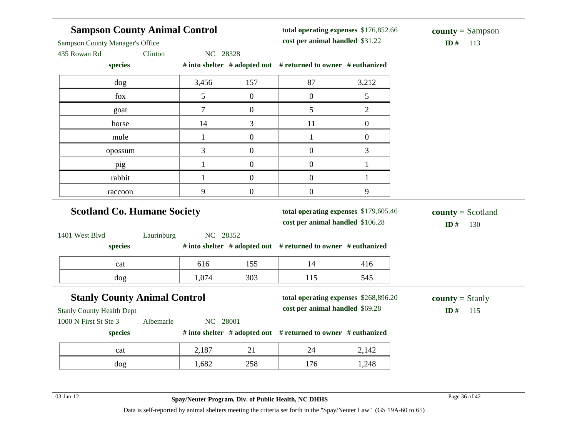| <b>Sampson County Animal Control</b><br><b>Sampson County Manager's Office</b><br>435 Rowan Rd<br>Clinton |              | total operating expenses \$176,852.66<br>cost per animal handled \$31.22<br>NC 28328 |                                                                           |                  | $county = Sampson$<br>ID#<br>113     |  |
|-----------------------------------------------------------------------------------------------------------|--------------|--------------------------------------------------------------------------------------|---------------------------------------------------------------------------|------------------|--------------------------------------|--|
| species                                                                                                   |              |                                                                                      | # into shelter # adopted out # returned to owner # euthanized             |                  |                                      |  |
| dog                                                                                                       | 3,456        | 157                                                                                  | 87                                                                        | 3,212            |                                      |  |
| fox                                                                                                       | 5            | $\overline{0}$                                                                       | $\overline{0}$                                                            | 5                |                                      |  |
| goat                                                                                                      | 7            | $\overline{0}$                                                                       | 5                                                                         | $\overline{2}$   |                                      |  |
| horse                                                                                                     | 14           | 3                                                                                    | 11                                                                        | $\overline{0}$   |                                      |  |
| mule                                                                                                      | $\mathbf{1}$ | $\boldsymbol{0}$                                                                     | $\mathbf{1}$                                                              | $\boldsymbol{0}$ |                                      |  |
| opossum                                                                                                   | 3            | $\overline{0}$                                                                       | $\boldsymbol{0}$                                                          | 3                |                                      |  |
| pig                                                                                                       | $\mathbf{1}$ | $\overline{0}$                                                                       | $\boldsymbol{0}$                                                          | $\mathbf{1}$     |                                      |  |
| rabbit                                                                                                    | $\mathbf{1}$ | $\boldsymbol{0}$                                                                     | $\boldsymbol{0}$                                                          | $\mathbf{1}$     |                                      |  |
| raccoon                                                                                                   | 9            | $\boldsymbol{0}$                                                                     | $\boldsymbol{0}$                                                          | 9                |                                      |  |
| <b>Scotland Co. Humane Society</b>                                                                        |              |                                                                                      | total operating expenses \$179,605.46<br>cost per animal handled \$106.28 |                  | $county = Scotland$<br>ID#<br>130    |  |
| 1401 West Blvd<br>Laurinburg                                                                              | NC 28352     |                                                                                      |                                                                           |                  |                                      |  |
| species                                                                                                   |              |                                                                                      | # into shelter # adopted out # returned to owner # euthanized             |                  |                                      |  |
| cat                                                                                                       | 616          | 155                                                                                  | 14                                                                        | 416              |                                      |  |
| dog                                                                                                       | 1,074        | 303                                                                                  | 115                                                                       | 545              |                                      |  |
| <b>Stanly County Animal Control</b><br><b>Stanly County Health Dept</b>                                   |              |                                                                                      | total operating expenses \$268,896.20<br>cost per animal handled \$69.28  |                  | <b>county</b> = Stanly<br>ID#<br>115 |  |
| 1000 N First St Ste 3<br>Albemarle                                                                        | NC 28001     |                                                                                      |                                                                           |                  |                                      |  |
| species                                                                                                   |              |                                                                                      | # into shelter # adopted out # returned to owner # euthanized             |                  |                                      |  |
|                                                                                                           | 2,187        | 21                                                                                   | 24                                                                        | 2,142            |                                      |  |
| cat                                                                                                       |              |                                                                                      |                                                                           |                  |                                      |  |

03-Jan-12 Page 36 of 42 **Spay/Neuter Program, Div. of Public Health, NC DHHS**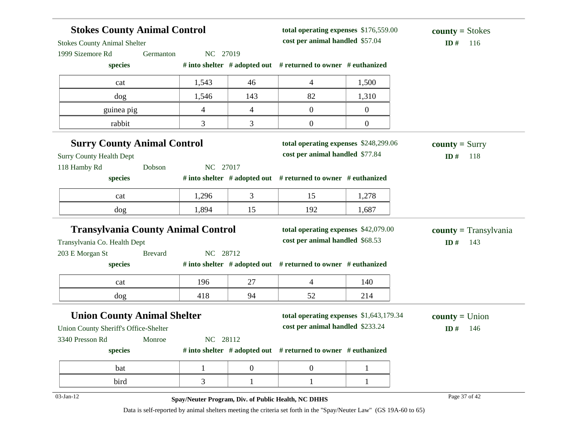| <b>Stokes County Animal Control</b>       |                |          |                | total operating expenses \$176,559.00                         |                  | $county = Stokes$       |
|-------------------------------------------|----------------|----------|----------------|---------------------------------------------------------------|------------------|-------------------------|
| <b>Stokes County Animal Shelter</b>       |                |          |                | cost per animal handled \$57.04                               |                  | ID#<br>116              |
| 1999 Sizemore Rd                          | Germanton      | NC 27019 |                |                                                               |                  |                         |
| species                                   |                |          |                | # into shelter # adopted out # returned to owner # euthanized |                  |                         |
| cat                                       |                | 1,543    | 46             | 4                                                             | 1,500            |                         |
| dog                                       |                | 1,546    | 143            | 82                                                            | 1,310            |                         |
| guinea pig                                |                | 4        | 4              | $\mathbf{0}$                                                  | $\mathbf{0}$     |                         |
| rabbit                                    |                | 3        | 3              | $\boldsymbol{0}$                                              | $\boldsymbol{0}$ |                         |
| <b>Surry County Animal Control</b>        |                |          |                | total operating expenses \$248,299.06                         |                  | <b>county</b> = $Sury$  |
| <b>Surry County Health Dept</b>           |                |          |                | cost per animal handled \$77.84                               |                  | ID $#$<br>118           |
| 118 Hamby Rd                              | Dobson         | NC 27017 |                |                                                               |                  |                         |
| species                                   |                |          |                | # into shelter # adopted out # returned to owner # euthanized |                  |                         |
| cat                                       |                | 1,296    | 3              | 15                                                            | 1,278            |                         |
| dog                                       |                | 1,894    | 15             | 192                                                           | 1,687            |                         |
| <b>Transylvania County Animal Control</b> |                |          |                | total operating expenses \$42,079.00                          |                  | $county = Transylvania$ |
| Transylvania Co. Health Dept              |                |          |                | cost per animal handled \$68.53                               |                  | ID#<br>143              |
| 203 E Morgan St                           | <b>Brevard</b> | NC 28712 |                |                                                               |                  |                         |
| species                                   |                |          |                | # into shelter # adopted out # returned to owner # euthanized |                  |                         |
| cat                                       |                | 196      | 27             | 4                                                             | 140              |                         |
| dog                                       |                | 418      | 94             | 52                                                            | 214              |                         |
| <b>Union County Animal Shelter</b>        |                |          |                | total operating expenses \$1,643,179.34                       |                  | $county = Union$        |
| Union County Sheriff's Office-Shelter     |                |          |                | cost per animal handled \$233.24                              |                  | ID#<br>146              |
| 3340 Presson Rd                           | Monroe         | NC 28112 |                |                                                               |                  |                         |
| species                                   |                |          |                | # into shelter # adopted out # returned to owner # euthanized |                  |                         |
| bat                                       |                |          | $\overline{0}$ | $\boldsymbol{0}$                                              |                  |                         |
| bird                                      |                | 3        | 1              |                                                               | 1                |                         |
| 03-Jan-12                                 |                |          |                |                                                               |                  | Page 37 of 42           |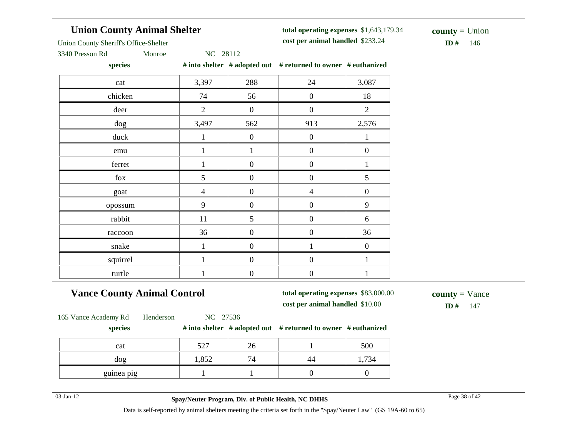# **Union County Animal Shelter**

**total operating expenses** \$1,643,179.34 **cost per animal handled**

 $ID# 146$ **county =** Union

Union County Sheriff's Office-Shelter

3340 Presson Rd Monroe NC 28112

**species # into shelter # adopted out # returned to owner # euthanized**

| ------   |                |                  | $\cdots$ $\cdots$ |                  |
|----------|----------------|------------------|-------------------|------------------|
| cat      | 3,397          | 288              | 24                | 3,087            |
| chicken  | 74             | 56               | $\boldsymbol{0}$  | 18               |
| deer     | $\overline{2}$ | $\boldsymbol{0}$ | $\boldsymbol{0}$  | $\mathbf{2}$     |
| dog      | 3,497          | 562              | 913               | 2,576            |
| duck     | 1              | $\boldsymbol{0}$ | $\boldsymbol{0}$  | $\mathbf{1}$     |
| emu      | 1              | $\mathbf{1}$     | $\boldsymbol{0}$  | $\boldsymbol{0}$ |
| ferret   | 1              | $\boldsymbol{0}$ | $\boldsymbol{0}$  | $\mathbf 1$      |
| $f_{OX}$ | 5              | $\boldsymbol{0}$ | $\boldsymbol{0}$  | 5                |
| goat     | $\overline{4}$ | $\boldsymbol{0}$ | $\overline{4}$    | $\boldsymbol{0}$ |
| opossum  | 9              | $\boldsymbol{0}$ | $\boldsymbol{0}$  | 9                |
| rabbit   | 11             | 5                | $\boldsymbol{0}$  | 6                |
| raccoon  | 36             | $\boldsymbol{0}$ | $\boldsymbol{0}$  | 36               |
| snake    | 1              | $\boldsymbol{0}$ | $\mathbf{1}$      | $\boldsymbol{0}$ |
| squirrel | $\mathbf{1}$   | $\boldsymbol{0}$ | $\boldsymbol{0}$  | $\mathbf{1}$     |
| turtle   | 1              | $\boldsymbol{0}$ | $\boldsymbol{0}$  | $\mathbf{1}$     |

# **Vance County Animal Control**

**total operating expenses** \$83,000.00 **cost per animal handled** \$10.00 **ID #** 147

**county =** Vance

165 Vance Academy Rd Henderson NC 27536

#### **species # into shelter # adopted out # returned to owner # euthanized**

| cat        | 527   | ∠∪                               | 500 |
|------------|-------|----------------------------------|-----|
| dog        | 1,852 | $\overline{ }$<br>$\overline{4}$ | 734 |
| guinea pig |       |                                  |     |

03-Jan-12 Page 38 of 42 **Spay/Neuter Program, Div. of Public Health, NC DHHS**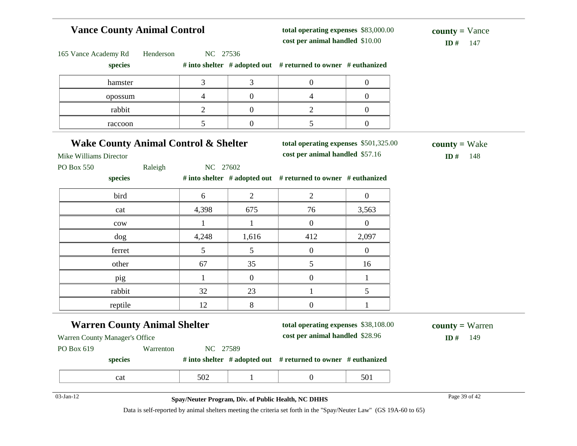# **Vance County Animal Control**

**total operating expenses** \$83,000.00 **cost per animal handled**

 $ID# 147$ **county =** Vance

| 165 Vance Academy Rd<br>Henderson               | NC 27536                 |                  |                                                                     |                  |                        |
|-------------------------------------------------|--------------------------|------------------|---------------------------------------------------------------------|------------------|------------------------|
| species                                         |                          |                  | # into shelter $#$ adopted out $#$ returned to owner $#$ euthanized |                  |                        |
| hamster                                         | 3                        | 3                | $\boldsymbol{0}$                                                    | $\boldsymbol{0}$ |                        |
| opossum                                         | $\overline{\mathcal{L}}$ | $\overline{0}$   | $\overline{4}$                                                      | $\overline{0}$   |                        |
| rabbit                                          | $\overline{2}$           | $\boldsymbol{0}$ | $\overline{2}$                                                      | $\overline{0}$   |                        |
| raccoon                                         | 5                        | $\boldsymbol{0}$ | 5                                                                   | $\boldsymbol{0}$ |                        |
| <b>Wake County Animal Control &amp; Shelter</b> |                          |                  | total operating expenses \$501,325.00                               |                  | $county = Wake$        |
| <b>Mike Williams Director</b>                   |                          |                  | cost per animal handled \$57.16                                     |                  | ID $#$<br>148          |
| PO Box 550<br>Raleigh                           | NC 27602                 |                  |                                                                     |                  |                        |
| species                                         |                          |                  | # into shelter # adopted out # returned to owner # euthanized       |                  |                        |
| bird                                            | 6                        | $\overline{2}$   | $\overline{2}$                                                      | $\overline{0}$   |                        |
| cat                                             | 4,398                    | 675              | 76                                                                  | 3,563            |                        |
| cow                                             | 1                        | 1                | $\overline{0}$                                                      | $\overline{0}$   |                        |
| dog                                             | 4,248                    | 1,616            | 412                                                                 | 2,097            |                        |
| ferret                                          | 5                        | 5                | $\boldsymbol{0}$                                                    | $\mathbf{0}$     |                        |
| other                                           | 67                       | 35               | 5                                                                   | 16               |                        |
| pig                                             | 1                        | $\overline{0}$   | $\overline{0}$                                                      | $\mathbf{1}$     |                        |
| rabbit                                          | 32                       | 23               | $\mathbf{1}$                                                        | 5                |                        |
| reptile                                         | 12                       | 8                | $\boldsymbol{0}$                                                    | 1                |                        |
| <b>Warren County Animal Shelter</b>             |                          |                  | total operating expenses \$38,108.00                                |                  | <b>county</b> = Warren |
| Warren County Manager's Office                  |                          |                  | cost per animal handled \$28.96                                     |                  | ID#<br>149             |
| PO Box 619<br>Warrenton                         | NC 27589                 |                  |                                                                     |                  |                        |
| species                                         |                          |                  | # into shelter # adopted out # returned to owner # euthanized       |                  |                        |
| cat                                             | 502                      | $\mathbf{1}$     | $\boldsymbol{0}$                                                    | 501              |                        |

# 03-Jan-12 Page 39 of 42 **Spay/Neuter Program, Div. of Public Health, NC DHHS**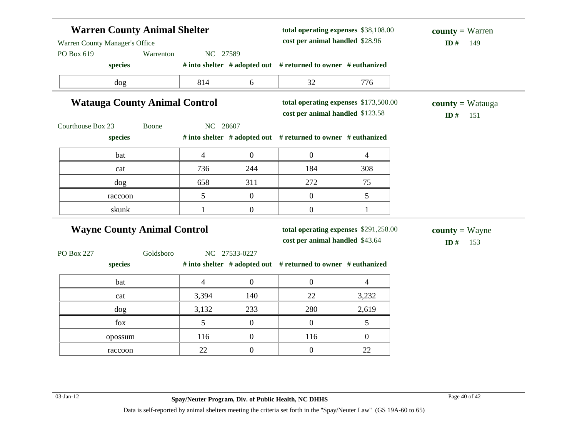| <b>Warren County Animal Shelter</b><br>Warren County Manager's Office<br>Warrenton<br>NC 27589 |                 |                  | total operating expenses \$38,108.00<br>cost per animal handled \$28.96   | <b>county</b> = Warren<br>ID#<br>149 |                                     |
|------------------------------------------------------------------------------------------------|-----------------|------------------|---------------------------------------------------------------------------|--------------------------------------|-------------------------------------|
| PO Box 619<br>species                                                                          |                 |                  | # into shelter # adopted out # returned to owner # euthanized             |                                      |                                     |
| dog                                                                                            | 814             | 6                | 32                                                                        | 776                                  |                                     |
| <b>Watauga County Animal Control</b>                                                           |                 |                  | total operating expenses \$173,500.00<br>cost per animal handled \$123.58 |                                      | $county = Watauga$<br>ID#<br>151    |
| Courthouse Box 23<br>Boone                                                                     | NC 28607        |                  |                                                                           |                                      |                                     |
| species                                                                                        |                 |                  | # into shelter # adopted out # returned to owner # euthanized             |                                      |                                     |
| bat                                                                                            | $\overline{4}$  | $\boldsymbol{0}$ | $\mathbf{0}$                                                              | $\overline{4}$                       |                                     |
| cat                                                                                            | 736             | 244              | 184                                                                       | 308                                  |                                     |
| dog                                                                                            | 658             | 311              | 272                                                                       | 75                                   |                                     |
| raccoon                                                                                        | 5               | $\overline{0}$   | $\mathbf{0}$                                                              | 5                                    |                                     |
| skunk                                                                                          | 1               | $\overline{0}$   | $\boldsymbol{0}$                                                          | 1                                    |                                     |
| <b>Wayne County Animal Control</b>                                                             |                 |                  | total operating expenses \$291,258.00<br>cost per animal handled \$43.64  |                                      | <b>county</b> = Wayne<br>ID#<br>153 |
| Goldsboro<br><b>PO Box 227</b>                                                                 |                 | NC 27533-0227    |                                                                           |                                      |                                     |
| species                                                                                        |                 |                  | # into shelter # adopted out # returned to owner # euthanized             |                                      |                                     |
| bat                                                                                            | $\overline{4}$  | $\overline{0}$   | $\mathbf{0}$                                                              | $\overline{4}$                       |                                     |
| cat                                                                                            | 3,394           | 140              | 22                                                                        | 3,232                                |                                     |
| dog                                                                                            | 3,132           | 233              | 280                                                                       | 2,619                                |                                     |
| fox                                                                                            | $5\overline{)}$ | $\overline{0}$   | $\overline{0}$                                                            | 5                                    |                                     |
| opossum                                                                                        | 116             | $\overline{0}$   | 116                                                                       | $\overline{0}$                       |                                     |
| raccoon                                                                                        | 22              | $\overline{0}$   | $\boldsymbol{0}$                                                          | 22                                   |                                     |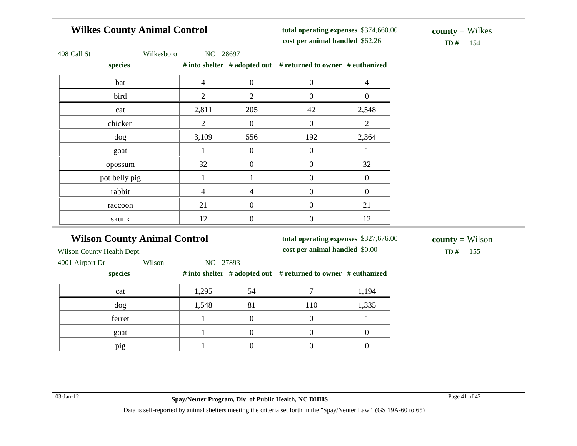# **Wilkes County Animal Control**

**total operating expenses** \$374,660.00 **cost per animal handled**

 $ID#$  154 **county =** Wilkes

|  |  | 408 Call St |  |
|--|--|-------------|--|
|--|--|-------------|--|

Wilkesboro NC 28697

**species # into shelter # adopted out # returned to owner # euthanized**

| species       |                |                  | $\#$ into sneiter $\#$ adopted out $\#$ returned to owner $\#$ euthanized |                  |
|---------------|----------------|------------------|---------------------------------------------------------------------------|------------------|
| bat           | $\overline{4}$ | $\boldsymbol{0}$ | $\boldsymbol{0}$                                                          | 4                |
| bird          | 2              | $\overline{2}$   | $\overline{0}$                                                            | 0                |
| cat           | 2,811          | 205              | 42                                                                        | 2,548            |
| chicken       | 2              | $\boldsymbol{0}$ | $\boldsymbol{0}$                                                          | $\overline{2}$   |
| $\log$        | 3,109          | 556              | 192                                                                       | 2,364            |
| goat          |                | $\overline{0}$   | $\boldsymbol{0}$                                                          |                  |
| opossum       | 32             | $\boldsymbol{0}$ | $\boldsymbol{0}$                                                          | 32               |
| pot belly pig |                |                  | $\boldsymbol{0}$                                                          | $\boldsymbol{0}$ |
| rabbit        | $\overline{4}$ | 4                | $\boldsymbol{0}$                                                          | $\theta$         |
| raccoon       | 21             |                  | 0                                                                         | 21               |
| skunk         | 12             | 0                | $\boldsymbol{0}$                                                          | 12               |
|               |                |                  |                                                                           |                  |

# **Wilson County Animal Control**

**total operating expenses** \$327,676.00 **cost per animal handled**

 $ID#$  155 **county =** Wilson

Wilson County Health Dept.

4001 Airport Dr Wilson NC 27893

#### **species # into shelter # adopted out # returned to owner # euthanized**

| cat    | 1,295 | 54 |     | 1,194 |
|--------|-------|----|-----|-------|
| dog    | 1,548 | 81 | 110 | 1,335 |
| ferret |       |    |     |       |
| goat   |       |    |     |       |
| pig    |       |    |     |       |